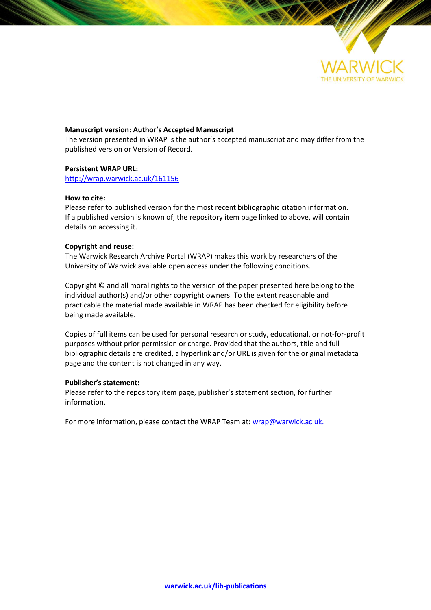

# **Manuscript version: Author's Accepted Manuscript**

The version presented in WRAP is the author's accepted manuscript and may differ from the published version or Version of Record.

# **Persistent WRAP URL:**

<http://wrap.warwick.ac.uk/161156>

# **How to cite:**

Please refer to published version for the most recent bibliographic citation information. If a published version is known of, the repository item page linked to above, will contain details on accessing it.

# **Copyright and reuse:**

The Warwick Research Archive Portal (WRAP) makes this work by researchers of the University of Warwick available open access under the following conditions.

Copyright © and all moral rights to the version of the paper presented here belong to the individual author(s) and/or other copyright owners. To the extent reasonable and practicable the material made available in WRAP has been checked for eligibility before being made available.

Copies of full items can be used for personal research or study, educational, or not-for-profit purposes without prior permission or charge. Provided that the authors, title and full bibliographic details are credited, a hyperlink and/or URL is given for the original metadata page and the content is not changed in any way.

# **Publisher's statement:**

Please refer to the repository item page, publisher's statement section, for further information.

For more information, please contact the WRAP Team at[: wrap@warwick.ac.uk.](mailto:wrap@warwick.ac.uk)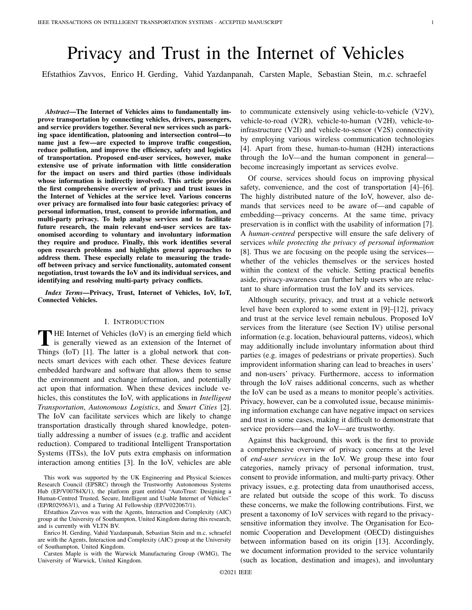# Privacy and Trust in the Internet of Vehicles

Efstathios Zavvos, Enrico H. Gerding, Vahid Yazdanpanah, Carsten Maple, Sebastian Stein, m.c. schraefel

*Abstract*—The Internet of Vehicles aims to fundamentally improve transportation by connecting vehicles, drivers, passengers, and service providers together. Several new services such as parking space identification, platooning and intersection control—to name just a few—are expected to improve traffic congestion, reduce pollution, and improve the efficiency, safety and logistics of transportation. Proposed end-user services, however, make extensive use of private information with little consideration for the impact on users and third parties (those individuals whose information is indirectly involved). This article provides the first comprehensive overview of privacy and trust issues in the Internet of Vehicles at the service level. Various concerns over privacy are formalised into four basic categories: privacy of personal information, trust, consent to provide information, and multi-party privacy. To help analyse services and to facilitate future research, the main relevant end-user services are taxonomised according to voluntary and involuntary information they require and produce. Finally, this work identifies several open research problems and highlights general approaches to address them. These especially relate to measuring the tradeoff between privacy and service functionality, automated consent negotiation, trust towards the IoV and its individual services, and identifying and resolving multi-party privacy conflicts.

*Index Terms*—Privacy, Trust, Internet of Vehicles, IoV, IoT, Connected Vehicles.

### I. INTRODUCTION

THE Internet of Vehicles (IoV) is an emerging field which<br>is generally viewed as an extension of the Internet of<br>Things (I-T) Ill The latter is a slabel actually that are THE Internet of Vehicles (IoV) is an emerging field which Things (IoT) [1]. The latter is a global network that connects smart devices with each other. These devices feature embedded hardware and software that allows them to sense the environment and exchange information, and potentially act upon that information. When these devices include vehicles, this constitutes the IoV, with applications in *Intelligent Transportation*, *Autonomous Logistics*, and *Smart Cities* [2]. The IoV can facilitate services which are likely to change transportation drastically through shared knowledge, potentially addressing a number of issues (e.g. traffic and accident reduction). Compared to traditional Intelligent Transportation Systems (ITSs), the IoV puts extra emphasis on information interaction among entities [3]. In the IoV, vehicles are able

This work was supported by the UK Engineering and Physical Sciences Research Council (EPSRC) through the Trustworthy Autonomous Systems Hub (EP/V00784X/1), the platform grant entitled "AutoTrust: Designing a Human-Centred Trusted, Secure, Intelligent and Usable Internet of Vehicles" (EP/R029563/1), and a Turing AI Fellowship (EP/V022067/1).

Efstathios Zavvos was with the Agents, Interaction and Complexity (AIC) group at the University of Southampton, United Kingdom during this research, and is currently with VLTN BV.

Enrico H. Gerding, Vahid Yazdanpanah, Sebastian Stein and m.c. schraefel are with the Agents, Interaction and Complexity (AIC) group at the University of Southampton, United Kingdom.

Carsten Maple is with the Warwick Manufacturing Group (WMG), The University of Warwick, United Kingdom.

to communicate extensively using vehicle-to-vehicle (V2V), vehicle-to-road (V2R), vehicle-to-human (V2H), vehicle-toinfrastructure (V2I) and vehicle-to-sensor (V2S) connectivity by employing various wireless communication technologies [4]. Apart from these, human-to-human (H2H) interactions through the IoV—and the human component in general become increasingly important as services evolve.

Of course, services should focus on improving physical safety, convenience, and the cost of transportation [4]–[6]. The highly distributed nature of the IoV, however, also demands that services need to be aware of—and capable of embedding—privacy concerns. At the same time, privacy preservation is in conflict with the usability of information [7]. A *human-centred* perspective will ensure the safe delivery of services *while protecting the privacy of personal information* [8]. Thus we are focusing on the people using the services whether of the vehicles themselves or the services hosted within the context of the vehicle. Setting practical benefits aside, privacy-awareness can further help users who are reluctant to share information trust the IoV and its services.

Although security, privacy, and trust at a vehicle network level have been explored to some extent in [9]–[12], privacy and trust at the service level remain nebulous. Proposed IoV services from the literature (see Section IV) utilise personal information (e.g. location, behavioural patterns, videos), which may additionally include involuntary information about third parties (e.g. images of pedestrians or private properties). Such improvident information sharing can lead to breaches in users' and non-users' privacy. Furthermore, access to information through the IoV raises additional concerns, such as whether the IoV can be used as a means to monitor people's activities. Privacy, however, can be a convoluted issue, because minimising information exchange can have negative impact on services and trust in some cases, making it difficult to demonstrate that service providers—and the IoV—are trustworthy.

Against this background, this work is the first to provide a comprehensive overview of privacy concerns at the level of *end-user services* in the IoV. We group these into four categories, namely privacy of personal information, trust, consent to provide information, and multi-party privacy. Other privacy issues, e.g. protecting data from unauthorised access, are related but outside the scope of this work. To discuss these concerns, we make the following contributions. First, we present a taxonomy of IoV services with regard to the privacysensitive information they involve. The Organisation for Economic Cooperation and Development (OECD) distinguishes between information based on its origin [13]. Accordingly, we document information provided to the service voluntarily (such as location, destination and images), and involuntary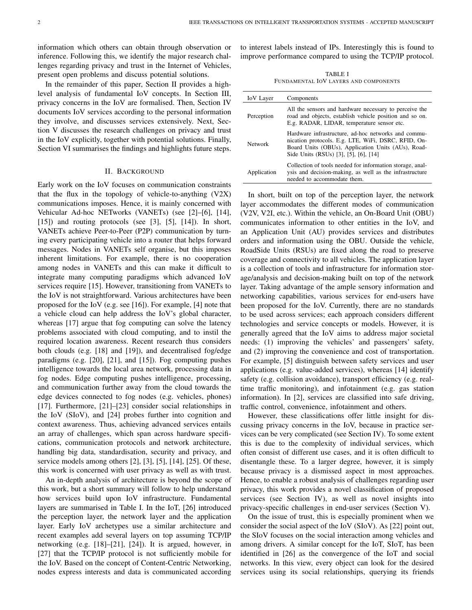information which others can obtain through observation or inference. Following this, we identify the major research challenges regarding privacy and trust in the Internet of Vehicles, present open problems and discuss potential solutions.

In the remainder of this paper, Section II provides a highlevel analysis of fundamental IoV concepts. In Section III, privacy concerns in the IoV are formalised. Then, Section IV documents IoV services according to the personal information they involve, and discusses services extensively. Next, Section V discusses the research challenges on privacy and trust in the IoV explicitly, together with potential solutions. Finally, Section VI summarises the findings and highlights future steps.

### II. BACKGROUND

Early work on the IoV focuses on communication constraints that the flux in the topology of vehicle-to-anything (V2X) communications imposes. Hence, it is mainly concerned with Vehicular Ad-hoc NETworks (VANETs) (see [2]–[6], [14],  $[15]$  and routing protocols (see  $[3]$ ,  $[5]$ ,  $[14]$ ). In short, VANETs achieve Peer-to-Peer (P2P) communication by turning every participating vehicle into a router that helps forward messages. Nodes in VANETs self organise, but this imposes inherent limitations. For example, there is no cooperation among nodes in VANETs and this can make it difficult to integrate many computing paradigms which advanced IoV services require [15]. However, transitioning from VANETs to the IoV is not straightforward. Various architectures have been proposed for the IoV (e.g. see [16]). For example, [4] note that a vehicle cloud can help address the IoV's global character, whereas [17] argue that fog computing can solve the latency problems associated with cloud computing, and to instil the required location awareness. Recent research thus considers both clouds (e.g. [18] and [19]), and decentralised fog/edge paradigms (e.g. [20], [21], and [15]). Fog computing pushes intelligence towards the local area network, processing data in fog nodes. Edge computing pushes intelligence, processing, and communication further away from the cloud towards the edge devices connected to fog nodes (e.g. vehicles, phones) [17]. Furthermore, [21]–[23] consider social relationships in the IoV (SIoV), and [24] probes further into cognition and context awareness. Thus, achieving advanced services entails an array of challenges, which span across hardware specifications, communication protocols and network architecture, handling big data, standardisation, security and privacy, and service models among others [2], [3], [5], [14], [25]. Of these, this work is concerned with user privacy as well as with trust.

An in-depth analysis of architecture is beyond the scope of this work, but a short summary will follow to help understand how services build upon IoV infrastructure. Fundamental layers are summarised in Table I. In the IoT, [26] introduced the perception layer, the network layer and the application layer. Early IoV archetypes use a similar architecture and recent examples add several layers on top assuming TCP/IP networking (e.g. [18]–[21], [24]). It is argued, however, in [27] that the TCP/IP protocol is not sufficiently mobile for the IoV. Based on the concept of Content-Centric Networking, nodes express interests and data is communicated according

to interest labels instead of IPs. Interestingly this is found to improve performance compared to using the TCP/IP protocol.

TABLE I FUNDAMENTAL IOV LAYERS AND COMPONENTS

| <b>IoV</b> Layer | Components                                                                                                                                                                                                |
|------------------|-----------------------------------------------------------------------------------------------------------------------------------------------------------------------------------------------------------|
| Perception       | All the sensors and hardware necessary to perceive the<br>road and objects, establish vehicle position and so on.<br>E.g. RADAR, LIDAR, temperature sensor etc.                                           |
| <b>Network</b>   | Hardware infrastructure, ad-hoc networks and commu-<br>nication protocols. E.g. LTE, WiFi, DSRC, RFID, On-<br>Board Units (OBUs), Application Units (AUs), Road-<br>Side Units (RSUs) [3], [5], [6], [14] |
| Application      | Collection of tools needed for information storage, anal-<br>ysis and decision-making, as well as the infrastructure<br>needed to accommodate them.                                                       |

In short, built on top of the perception layer, the network layer accommodates the different modes of communication (V2V, V2I, etc.). Within the vehicle, an On-Board Unit (OBU) communicates information to other entities in the IoV, and an Application Unit (AU) provides services and distributes orders and information using the OBU. Outside the vehicle, RoadSide Units (RSUs) are fixed along the road to preserve coverage and connectivity to all vehicles. The application layer is a collection of tools and infrastructure for information storage/analysis and decision-making built on top of the network layer. Taking advantage of the ample sensory information and networking capabilities, various services for end-users have been proposed for the IoV. Currently, there are no standards to be used across services; each approach considers different technologies and service concepts or models. However, it is generally agreed that the IoV aims to address major societal needs: (1) improving the vehicles' and passengers' safety, and (2) improving the convenience and cost of transportation. For example, [5] distinguish between safety services and user applications (e.g. value-added services), whereas [14] identify safety (e.g. collision avoidance), transport efficiency (e.g. realtime traffic monitoring), and infotainment (e.g. gas station information). In [2], services are classified into safe driving, traffic control, convenience, infotainment and others.

However, these classifications offer little insight for discussing privacy concerns in the IoV, because in practice services can be very complicated (see Section IV). To some extent this is due to the complexity of individual services, which often consist of different use cases, and it is often difficult to disentangle these. To a larger degree, however, it is simply because privacy is a dismissed aspect in most approaches. Hence, to enable a robust analysis of challenges regarding user privacy, this work provides a novel classification of proposed services (see Section IV), as well as novel insights into privacy-specific challenges in end-user services (Section V).

On the issue of trust, this is especially prominent when we consider the social aspect of the IoV (SIoV). As [22] point out, the SIoV focuses on the social interaction among vehicles and among drivers. A similar concept for the IoT, SIoT, has been identified in [26] as the convergence of the IoT and social networks. In this view, every object can look for the desired services using its social relationships, querying its friends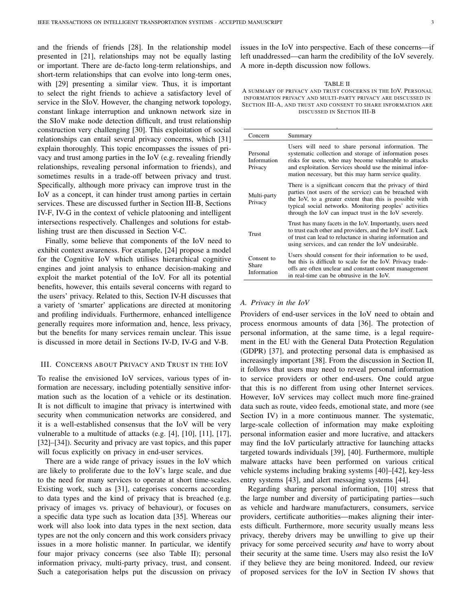and the friends of friends [28]. In the relationship model presented in [21], relationships may not be equally lasting or important. There are de-facto long-term relationships, and short-term relationships that can evolve into long-term ones, with [29] presenting a similar view. Thus, it is important to select the right friends to achieve a satisfactory level of service in the SIoV. However, the changing network topology, constant linkage interruption and unknown network size in the SIoV make node detection difficult, and trust relationship construction very challenging [30]. This exploitation of social relationships can entail several privacy concerns, which [31] explain thoroughly. This topic encompasses the issues of privacy and trust among parties in the IoV (e.g. revealing friendly relationships, revealing personal information to friends), and sometimes results in a trade-off between privacy and trust. Specifically, although more privacy can improve trust in the IoV as a concept, it can hinder trust among parties in certain services. These are discussed further in Section III-B, Sections IV-F, IV-G in the context of vehicle platooning and intelligent intersections respectively. Challenges and solutions for establishing trust are then discussed in Section V-C.

Finally, some believe that components of the IoV need to exhibit context awareness. For example, [24] propose a model for the Cognitive IoV which utilises hierarchical cognitive engines and joint analysis to enhance decision-making and exploit the market potential of the IoV. For all its potential benefits, however, this entails several concerns with regard to the users' privacy. Related to this, Section IV-H discusses that a variety of 'smarter' applications are directed at monitoring and profiling individuals. Furthermore, enhanced intelligence generally requires more information and, hence, less privacy, but the benefits for many services remain unclear. This issue is discussed in more detail in Sections IV-D, IV-G and V-B.

### III. CONCERNS ABOUT PRIVACY AND TRUST IN THE IOV

To realise the envisioned IoV services, various types of information are necessary, including potentially sensitive information such as the location of a vehicle or its destination. It is not difficult to imagine that privacy is intertwined with security when communication networks are considered, and it is a well-established consensus that the IoV will be very vulnerable to a multitude of attacks (e.g. [4], [10], [11], [17], [32]–[34]). Security and privacy are vast topics, and this paper will focus explicitly on privacy in end-user services.

There are a wide range of privacy issues in the IoV which are likely to proliferate due to the IoV's large scale, and due to the need for many services to operate at short time-scales. Existing work, such as [31], categorises concerns according to data types and the kind of privacy that is breached (e.g. privacy of images vs. privacy of behaviour), or focuses on a specific data type such as location data [35]. Whereas our work will also look into data types in the next section, data types are not the only concern and this work considers privacy issues in a more holistic manner. In particular, we identify four major privacy concerns (see also Table II); personal information privacy, multi-party privacy, trust, and consent. Such a categorisation helps put the discussion on privacy

issues in the IoV into perspective. Each of these concerns—if left unaddressed—can harm the credibility of the IoV severely. A more in-depth discussion now follows.

### TABLE II

A SUMMARY OF PRIVACY AND TRUST CONCERNS IN THE IOV. PERSONAL INFORMATION PRIVACY AND MULTI-PARTY PRIVACY ARE DISCUSSED IN SECTION III-A, AND TRUST AND CONSENT TO SHARE INFORMATION ARE DISCUSSED IN SECTION III-B

| Concern                            | Summary                                                                                                                                                                                                                                                                                            |
|------------------------------------|----------------------------------------------------------------------------------------------------------------------------------------------------------------------------------------------------------------------------------------------------------------------------------------------------|
| Personal<br>Information<br>Privacy | Users will need to share personal information. The<br>systematic collection and storage of information poses<br>risks for users, who may become vulnerable to attacks<br>and exploitation. Services should use the minimal infor-<br>mation necessary, but this may harm service quality.          |
| Multi-party<br>Privacy             | There is a significant concern that the privacy of third<br>parties (not users of the service) can be breached with<br>the IoV, to a greater extent than this is possible with<br>typical social networks. Monitoring peoples' activities<br>through the IoV can impact trust in the IoV severely. |
| Trust                              | Trust has many facets in the IoV. Importantly, users need<br>to trust each other and providers, and the IoV itself. Lack<br>of trust can lead to reluctance in sharing information and<br>using services, and can render the IoV undesirable.                                                      |
| Consent to<br>Share<br>Information | Users should consent for their information to be used,<br>but this is difficult to scale for the IoV. Privacy trade-<br>offs are often unclear and constant consent management<br>in real-time can be obtrusive in the IoV.                                                                        |

### *A. Privacy in the IoV*

Providers of end-user services in the IoV need to obtain and process enormous amounts of data [36]. The protection of personal information, at the same time, is a legal requirement in the EU with the General Data Protection Regulation (GDPR) [37], and protecting personal data is emphasised as increasingly important [38]. From the discussion in Section II, it follows that users may need to reveal personal information to service providers or other end-users. One could argue that this is no different from using other Internet services. However, IoV services may collect much more fine-grained data such as route, video feeds, emotional state, and more (see Section IV) in a more continuous manner. The systematic, large-scale collection of information may make exploiting personal information easier and more lucrative, and attackers may find the IoV particularly attractive for launching attacks targeted towards individuals [39], [40]. Furthermore, multiple malware attacks have been performed on various critical vehicle systems including braking systems [40]–[42], key-less entry systems [43], and alert messaging systems [44].

Regarding sharing personal information, [10] stress that the large number and diversity of participating parties—such as vehicle and hardware manufacturers, consumers, service providers, certificate authorities—makes aligning their interests difficult. Furthermore, more security usually means less privacy, thereby drivers may be unwilling to give up their privacy for some perceived security *and* have to worry about their security at the same time. Users may also resist the IoV if they believe they are being monitored. Indeed, our review of proposed services for the IoV in Section IV shows that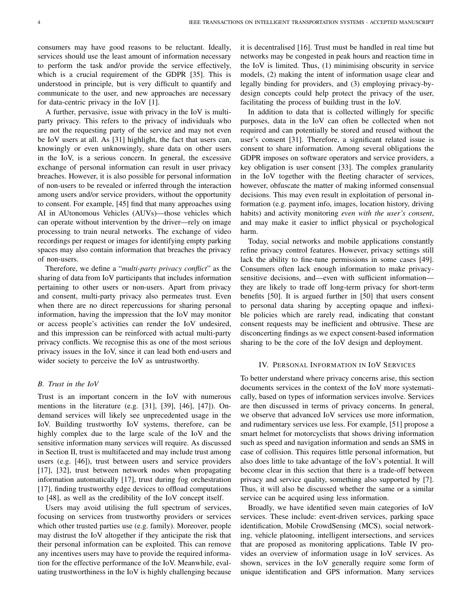consumers may have good reasons to be reluctant. Ideally, services should use the least amount of information necessary to perform the task and/or provide the service effectively, which is a crucial requirement of the GDPR [35]. This is understood in principle, but is very difficult to quantify and communicate to the user, and new approaches are necessary for data-centric privacy in the IoV [1].

A further, pervasive, issue with privacy in the IoV is multiparty privacy. This refers to the privacy of individuals who are not the requesting party of the service and may not even be IoV users at all. As [31] highlight, the fact that users can, knowingly or even unknowingly, share data on other users in the IoV, is a serious concern. In general, the excessive exchange of personal information can result in user privacy breaches. However, it is also possible for personal information of non-users to be revealed or inferred through the interaction among users and/or service providers, without the opportunity to consent. For example, [45] find that many approaches using AI in AUtonomous Vehicles (AUVs)—those vehicles which can operate without intervention by the driver—rely on image processing to train neural networks. The exchange of video recordings per request or images for identifying empty parking spaces may also contain information that breaches the privacy of non-users.

Therefore, we define a "*multi-party privacy conflict*" as the sharing of data from IoV participants that includes information pertaining to other users or non-users. Apart from privacy and consent, multi-party privacy also permeates trust. Even when there are no direct repercussions for sharing personal information, having the impression that the IoV may monitor or access people's activities can render the IoV undesired, and this impression can be reinforced with actual multi-party privacy conflicts. We recognise this as one of the most serious privacy issues in the IoV, since it can lead both end-users and wider society to perceive the IoV as untrustworthy.

### *B. Trust in the IoV*

Trust is an important concern in the IoV with numerous mentions in the literature (e.g. [31], [39], [46], [47]). Ondemand services will likely see unprecedented usage in the IoV. Building trustworthy IoV systems, therefore, can be highly complex due to the large scale of the IoV and the sensitive information many services will require. As discussed in Section II, trust is multifaceted and may include trust among users (e.g. [46]), trust between users and service providers [17], [32], trust between network nodes when propagating information automatically [17], trust during fog orchestration [17], finding trustworthy edge devices to offload computations to [48], as well as the credibility of the IoV concept itself.

Users may avoid utilising the full spectrum of services, focusing on services from trustworthy providers or services which other trusted parties use (e.g. family). Moreover, people may distrust the IoV altogether if they anticipate the risk that their personal information can be exploited. This can remove any incentives users may have to provide the required information for the effective performance of the IoV. Meanwhile, evaluating trustworthiness in the IoV is highly challenging because

it is decentralised [16]. Trust must be handled in real time but networks may be congested in peak hours and reaction time in the IoV is limited. Thus, (1) minimising obscurity in service models, (2) making the intent of information usage clear and legally binding for providers, and (3) employing privacy-bydesign concepts could help protect the privacy of the user, facilitating the process of building trust in the IoV.

In addition to data that is collected willingly for specific purposes, data in the IoV can often be collected when not required and can potentially be stored and reused without the user's consent [31]. Therefore, a significant related issue is consent to share information. Among several obligations the GDPR imposes on software operators and service providers, a key obligation is user consent [33]. The complex granularity in the IoV together with the fleeting character of services, however, obfuscate the matter of making informed consensual decisions. This may even result in exploitation of personal information (e.g. payment info, images, location history, driving habits) and activity monitoring *even with the user's consent*, and may make it easier to inflict physical or psychological harm.

Today, social networks and mobile applications constantly refine privacy control features. However, privacy settings still lack the ability to fine-tune permissions in some cases [49]. Consumers often lack enough information to make privacysensitive decisions, and—even with sufficient information they are likely to trade off long-term privacy for short-term benefits [50]. It is argued further in [50] that users consent to personal data sharing by accepting opaque and inflexible policies which are rarely read, indicating that constant consent requests may be inefficient and obtrusive. These are disconcerting findings as we expect consent-based information sharing to be the core of the IoV design and deployment.

### IV. PERSONAL INFORMATION IN IOV SERVICES

To better understand where privacy concerns arise, this section documents services in the context of the IoV more systematically, based on types of information services involve. Services are then discussed in terms of privacy concerns. In general, we observe that advanced IoV services use more information, and rudimentary services use less. For example, [51] propose a smart helmet for motorcyclists that shows driving information such as speed and navigation information and sends an SMS in case of collision. This requires little personal information, but also does little to take advantage of the IoV's potential. It will become clear in this section that there is a trade-off between privacy and service quality, something also supported by [7]. Thus, it will also be discussed whether the same or a similar service can be acquired using less information.

Broadly, we have identified seven main categories of IoV services. These include: event-driven services, parking space identification, Mobile CrowdSensing (MCS), social networking, vehicle platooning, intelligent intersections, and services that are proposed as monitoring applications. Table IV provides an overview of information usage in IoV services. As shown, services in the IoV generally require some form of unique identification and GPS information. Many services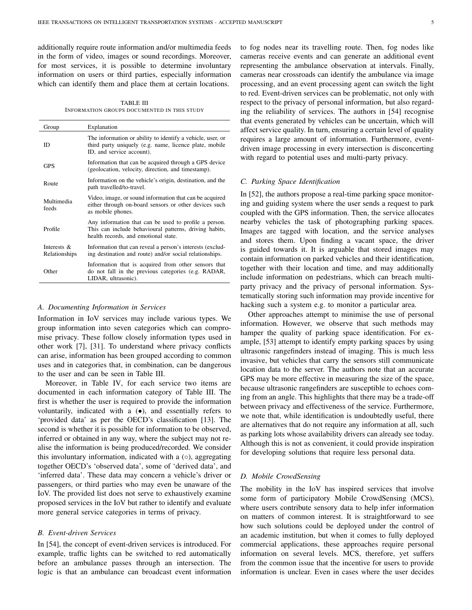additionally require route information and/or multimedia feeds in the form of video, images or sound recordings. Moreover, for most services, it is possible to determine involuntary information on users or third parties, especially information which can identify them and place them at certain locations.

TABLE III INFORMATION GROUPS DOCUMENTED IN THIS STUDY

| Group                           | Explanation                                                                                                                                             |
|---------------------------------|---------------------------------------------------------------------------------------------------------------------------------------------------------|
| ID                              | The information or ability to identify a vehicle, user, or<br>third party uniquely (e.g. name, licence plate, mobile<br>ID, and service account).       |
| <b>GPS</b>                      | Information that can be acquired through a GPS device<br>(geolocation, velocity, direction, and timestamp).                                             |
| Route                           | Information on the vehicle's origin, destination, and the<br>path travelled/to-travel.                                                                  |
| Multimedia<br>feeds             | Video, image, or sound information that can be acquired<br>either through on-board sensors or other devices such<br>as mobile phones.                   |
| Profile                         | Any information that can be used to profile a person.<br>This can include behavioural patterns, driving habits,<br>health records, and emotional state. |
| Interests $\&$<br>Relationships | Information that can reveal a person's interests (exclud-<br>ing destination and route) and/or social relationships.                                    |
| Other                           | Information that is acquired from other sensors that<br>do not fall in the previous categories (e.g. RADAR,<br>LIDAR, ultrasonic).                      |

### *A. Documenting Information in Services*

Information in IoV services may include various types. We group information into seven categories which can compromise privacy. These follow closely information types used in other work [7], [31]. To understand where privacy conflicts can arise, information has been grouped according to common uses and in categories that, in combination, can be dangerous to the user and can be seen in Table III.

Moreover, in Table IV, for each service two items are documented in each information category of Table III. The first is whether the user is required to provide the information voluntarily, indicated with a (•), and essentially refers to 'provided data' as per the OECD's classification [13]. The second is whether it is possible for information to be observed, inferred or obtained in any way, where the subject may not realise the information is being produced/recorded. We consider this involuntary information, indicated with a  $(○)$ , aggregating together OECD's 'observed data', some of 'derived data', and 'inferred data'. These data may concern a vehicle's driver or passengers, or third parties who may even be unaware of the IoV. The provided list does not serve to exhaustively examine proposed services in the IoV but rather to identify and evaluate more general service categories in terms of privacy.

### *B. Event-driven Services*

In [54], the concept of event-driven services is introduced. For example, traffic lights can be switched to red automatically before an ambulance passes through an intersection. The logic is that an ambulance can broadcast event information to fog nodes near its travelling route. Then, fog nodes like cameras receive events and can generate an additional event representing the ambulance observation at intervals. Finally, cameras near crossroads can identify the ambulance via image processing, and an event processing agent can switch the light to red. Event-driven services can be problematic, not only with respect to the privacy of personal information, but also regarding the reliability of services. The authors in [54] recognise that events generated by vehicles can be uncertain, which will affect service quality. In turn, ensuring a certain level of quality requires a large amount of information. Furthermore, eventdriven image processing in every intersection is disconcerting with regard to potential uses and multi-party privacy.

### *C. Parking Space Identification*

In [52], the authors propose a real-time parking space monitoring and guiding system where the user sends a request to park coupled with the GPS information. Then, the service allocates nearby vehicles the task of photographing parking spaces. Images are tagged with location, and the service analyses and stores them. Upon finding a vacant space, the driver is guided towards it. It is arguable that stored images may contain information on parked vehicles and their identification, together with their location and time, and may additionally include information on pedestrians, which can breach multiparty privacy and the privacy of personal information. Systematically storing such information may provide incentive for hacking such a system e.g. to monitor a particular area.

Other approaches attempt to minimise the use of personal information. However, we observe that such methods may hamper the quality of parking space identification. For example, [53] attempt to identify empty parking spaces by using ultrasonic rangefinders instead of imaging. This is much less invasive, but vehicles that carry the sensors still communicate location data to the server. The authors note that an accurate GPS may be more effective in measuring the size of the space, because ultrasonic rangefinders are susceptible to echoes coming from an angle. This highlights that there may be a trade-off between privacy and effectiveness of the service. Furthermore, we note that, while identification is undoubtedly useful, there are alternatives that do not require any information at all, such as parking lots whose availability drivers can already see today. Although this is not as convenient, it could provide inspiration for developing solutions that require less personal data.

### *D. Mobile CrowdSensing*

The mobility in the IoV has inspired services that involve some form of participatory Mobile CrowdSensing (MCS), where users contribute sensory data to help infer information on matters of common interest. It is straightforward to see how such solutions could be deployed under the control of an academic institution, but when it comes to fully deployed commercial applications, these approaches require personal information on several levels. MCS, therefore, yet suffers from the common issue that the incentive for users to provide information is unclear. Even in cases where the user decides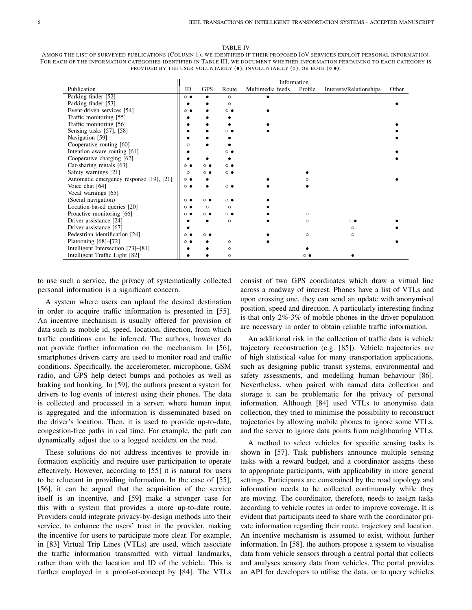#### TABLE IV

AMONG THE LIST OF SURVEYED PUBLICATIONS (COLUMN 1), WE IDENTIFIED IF THEIR PROPOSED IOV SERVICES EXPLOIT PERSONAL INFORMATION. FOR EACH OF THE INFORMATION CATEGORIES IDENTIFIED IN TABLE III, WE DOCUMENT WHETHER INFORMATION PERTAINING TO EACH CATEGORY IS PROVIDED BY THE USER VOLUNTARILY  $(•)$ , INVOLUNTARILY  $(○)$ , OR BOTH  $(○ •)$ .

|                                         | Information       |                   |            |                  |          |                         |       |
|-----------------------------------------|-------------------|-------------------|------------|------------------|----------|-------------------------|-------|
| Publication                             | ID                | <b>GPS</b>        | Route      | Multimedia feeds | Profile  | Interests/Relationships | Other |
| Parking finder [52]                     | $\circ$ $\bullet$ |                   | $\circ$    |                  |          |                         |       |
| Parking finder [53]                     |                   |                   | $\circ$    |                  |          |                         |       |
| Event-driven services [54]              | $\circ\bullet$    |                   | . ∙        |                  |          |                         |       |
| Traffic monitoring [55]                 |                   |                   |            |                  |          |                         |       |
| Traffic monitoring [56]                 |                   |                   |            |                  |          |                         |       |
| Sensing tasks [57], [58]                |                   |                   | െ ഭ        |                  |          |                         |       |
| Navigation [59]                         |                   |                   |            |                  |          |                         |       |
| Cooperative routing [60]                | $\circ$           |                   |            |                  |          |                         |       |
| Intention-aware routing [61]            |                   |                   |            |                  |          |                         |       |
| Cooperative charging [62]               |                   |                   |            |                  |          |                         |       |
| Car-sharing rentals [63]                | $\circ$ $\bullet$ | െ ∈               | ∩ (        |                  |          |                         |       |
| Safety warnings [21]                    | $\circ$           | $^{\circ}$        | ் ●        |                  |          |                         |       |
| Automatic emergency response [19], [21] | $\circ\bullet$    |                   |            |                  |          |                         |       |
| Voice chat [64]                         | $\circ\bullet$    |                   | $^{\circ}$ |                  |          |                         |       |
| Vocal warnings [65]                     |                   |                   |            |                  |          |                         |       |
| (Social navigation)                     | $^{\circ}$        | ் ●               | ் ●        |                  |          |                         |       |
| Location-based queries [20]             | $\circ\bullet$    | $\circ$           | $\circ$    |                  |          |                         |       |
| Proactive monitoring [66]               | $\circ\bullet$    | $\circ$ $\bullet$ | െ ∙        |                  | $\circ$  |                         |       |
| Driver assistance [24]                  |                   |                   | $\circ$    |                  | $\Omega$ | $^{\circ}$              |       |
| Driver assistance [67]                  |                   |                   |            |                  |          | $\Omega$                |       |
| Pedestrian identification [24]          | $\circ\bullet$    | ∩ ●               |            |                  | $\circ$  | $\circ$                 |       |
| Platooning $[68]–[72]$                  | $\circ\bullet$    |                   | O          |                  |          |                         |       |
| Intelligent Intersection [73]–[81]      |                   |                   | $\circ$    |                  |          |                         |       |
| Intelligent Traffic Light [82]          |                   |                   | O          |                  | െ ∈      |                         |       |

to use such a service, the privacy of systematically collected personal information is a significant concern.

A system where users can upload the desired destination in order to acquire traffic information is presented in [55]. An incentive mechanism is usually offered for provision of data such as mobile id, speed, location, direction, from which traffic conditions can be inferred. The authors, however do not provide further information on the mechanism. In [56], smartphones drivers carry are used to monitor road and traffic conditions. Specifically, the accelerometer, microphone, GSM radio, and GPS help detect bumps and potholes as well as braking and honking. In [59], the authors present a system for drivers to log events of interest using their phones. The data is collected and processed in a server, where human input is aggregated and the information is disseminated based on the driver's location. Then, it is used to provide up-to-date, congestion-free paths in real time. For example, the path can dynamically adjust due to a logged accident on the road.

These solutions do not address incentives to provide information explicitly and require user participation to operate effectively. However, according to [55] it is natural for users to be reluctant in providing information. In the case of [55], [56], it can be argued that the acquisition of the service itself is an incentive, and [59] make a stronger case for this with a system that provides a more up-to-date route. Providers could integrate privacy-by-design methods into their service, to enhance the users' trust in the provider, making the incentive for users to participate more clear. For example, in [83] Virtual Trip Lines (VTLs) are used, which associate the traffic information transmitted with virtual landmarks, rather than with the location and ID of the vehicle. This is further employed in a proof-of-concept by [84]. The VTLs

consist of two GPS coordinates which draw a virtual line across a roadway of interest. Phones have a list of VTLs and upon crossing one, they can send an update with anonymised position, speed and direction. A particularly interesting finding is that only 2%-3% of mobile phones in the driver population are necessary in order to obtain reliable traffic information.

An additional risk in the collection of traffic data is vehicle trajectory reconstruction (e.g. [85]). Vehicle trajectories are of high statistical value for many transportation applications, such as designing public transit systems, environmental and safety assessments, and modelling human behaviour [86]. Nevertheless, when paired with named data collection and storage it can be problematic for the privacy of personal information. Although [84] used VTLs to anonymise data collection, they tried to minimise the possibility to reconstruct trajectories by allowing mobile phones to ignore some VTLs, and the server to ignore data points from neighbouring VTLs.

A method to select vehicles for specific sensing tasks is shown in [57]. Task publishers announce multiple sensing tasks with a reward budget, and a coordinator assigns these to appropriate participants, with applicability in more general settings. Participants are constrained by the road topology and information needs to be collected continuously while they are moving. The coordinator, therefore, needs to assign tasks according to vehicle routes in order to improve coverage. It is evident that participants need to share with the coordinator private information regarding their route, trajectory and location. An incentive mechanism is assumed to exist, without further information. In [58], the authors propose a system to visualise data from vehicle sensors through a central portal that collects and analyses sensory data from vehicles. The portal provides an API for developers to utilise the data, or to query vehicles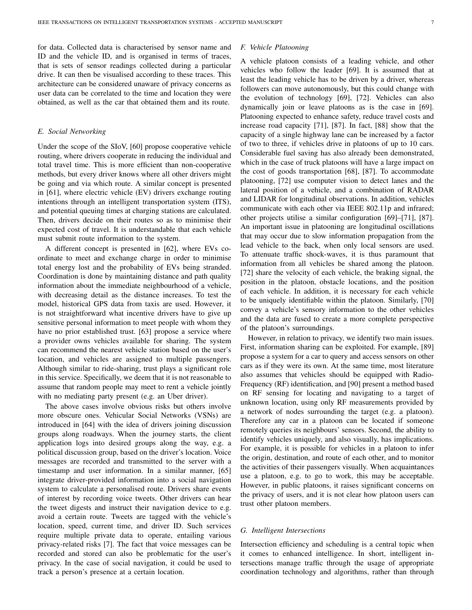for data. Collected data is characterised by sensor name and ID and the vehicle ID, and is organised in terms of traces, that is sets of sensor readings collected during a particular drive. It can then be visualised according to these traces. This architecture can be considered unaware of privacy concerns as user data can be correlated to the time and location they were obtained, as well as the car that obtained them and its route.

### *E. Social Networking*

Under the scope of the SIoV, [60] propose cooperative vehicle routing, where drivers cooperate in reducing the individual and total travel time. This is more efficient than non-cooperative methods, but every driver knows where all other drivers might be going and via which route. A similar concept is presented in [61], where electric vehicle (EV) drivers exchange routing intentions through an intelligent transportation system (ITS), and potential queuing times at charging stations are calculated. Then, drivers decide on their routes so as to minimise their expected cost of travel. It is understandable that each vehicle must submit route information to the system.

A different concept is presented in [62], where EVs coordinate to meet and exchange charge in order to minimise total energy lost and the probability of EVs being stranded. Coordination is done by maintaining distance and path quality information about the immediate neighbourhood of a vehicle, with decreasing detail as the distance increases. To test the model, historical GPS data from taxis are used. However, it is not straightforward what incentive drivers have to give up sensitive personal information to meet people with whom they have no prior established trust. [63] propose a service where a provider owns vehicles available for sharing. The system can recommend the nearest vehicle station based on the user's location, and vehicles are assigned to multiple passengers. Although similar to ride-sharing, trust plays a significant role in this service. Specifically, we deem that it is not reasonable to assume that random people may meet to rent a vehicle jointly with no mediating party present (e.g. an Uber driver).

The above cases involve obvious risks but others involve more obscure ones. Vehicular Social Networks (VSNs) are introduced in [64] with the idea of drivers joining discussion groups along roadways. When the journey starts, the client application logs into desired groups along the way, e.g. a political discussion group, based on the driver's location. Voice messages are recorded and transmitted to the server with a timestamp and user information. In a similar manner, [65] integrate driver-provided information into a social navigation system to calculate a personalised route. Drivers share events of interest by recording voice tweets. Other drivers can hear the tweet digests and instruct their navigation device to e.g. avoid a certain route. Tweets are tagged with the vehicle's location, speed, current time, and driver ID. Such services require multiple private data to operate, entailing various privacy-related risks [7]. The fact that voice messages can be recorded and stored can also be problematic for the user's privacy. In the case of social navigation, it could be used to track a person's presence at a certain location.

### *F. Vehicle Platooning*

A vehicle platoon consists of a leading vehicle, and other vehicles who follow the leader [69]. It is assumed that at least the leading vehicle has to be driven by a driver, whereas followers can move autonomously, but this could change with the evolution of technology [69], [72]. Vehicles can also dynamically join or leave platoons as is the case in [69]. Platooning expected to enhance safety, reduce travel costs and increase road capacity [71], [87]. In fact, [88] show that the capacity of a single highway lane can be increased by a factor of two to three, if vehicles drive in platoons of up to 10 cars. Considerable fuel saving has also already been demonstrated, which in the case of truck platoons will have a large impact on the cost of goods transportation [68], [87]. To accommodate platooning, [72] use computer vision to detect lanes and the lateral position of a vehicle, and a combination of RADAR and LIDAR for longitudinal observations. In addition, vehicles communicate with each other via IEEE 802.11p and infrared; other projects utilise a similar configuration [69]–[71], [87]. An important issue in platooning are longitudinal oscillations that may occur due to slow information propagation from the lead vehicle to the back, when only local sensors are used. To attenuate traffic shock-waves, it is thus paramount that information from all vehicles be shared among the platoon. [72] share the velocity of each vehicle, the braking signal, the position in the platoon, obstacle locations, and the position of each vehicle. In addition, it is necessary for each vehicle to be uniquely identifiable within the platoon. Similarly, [70] convey a vehicle's sensory information to the other vehicles and the data are fused to create a more complete perspective of the platoon's surroundings.

However, in relation to privacy, we identify two main issues. First, information sharing can be exploited. For example, [89] propose a system for a car to query and access sensors on other cars as if they were its own. At the same time, most literature also assumes that vehicles should be equipped with Radio-Frequency (RF) identification, and [90] present a method based on RF sensing for locating and navigating to a target of unknown location, using only RF measurements provided by a network of nodes surrounding the target (e.g. a platoon). Therefore any car in a platoon can be located if someone remotely queries its neighbours' sensors. Second, the ability to identify vehicles uniquely, and also visually, has implications. For example, it is possible for vehicles in a platoon to infer the origin, destination, and route of each other, and to monitor the activities of their passengers visually. When acquaintances use a platoon, e.g. to go to work, this may be acceptable. However, in public platoons, it raises significant concerns on the privacy of users, and it is not clear how platoon users can trust other platoon members.

### *G. Intelligent Intersections*

Intersection efficiency and scheduling is a central topic when it comes to enhanced intelligence. In short, intelligent intersections manage traffic through the usage of appropriate coordination technology and algorithms, rather than through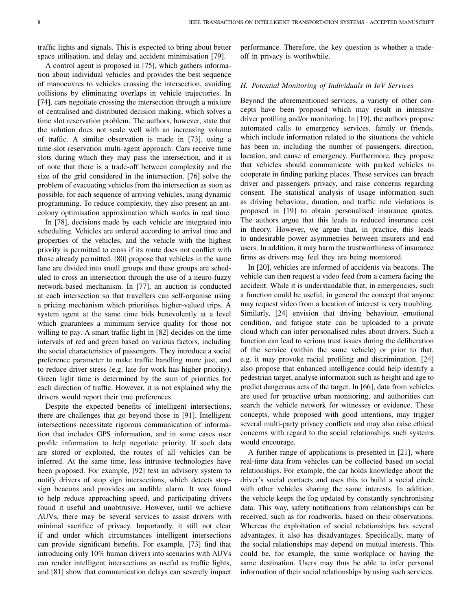traffic lights and signals. This is expected to bring about better space utilisation, and delay and accident minimisation [79].

A control agent is proposed in [75], which gathers information about individual vehicles and provides the best sequence of manoeuvres to vehicles crossing the intersection, avoiding collisions by eliminating overlaps in vehicle trajectories. In [74], cars negotiate crossing the intersection through a mixture of centralised and distributed decision making, which solves a time slot reservation problem. The authors, however, state that the solution does not scale well with an increasing volume of traffic. A similar observation is made in [73], using a time-slot reservation multi-agent approach. Cars receive time slots during which they may pass the intersection, and it is of note that there is a trade-off between complexity and the size of the grid considered in the intersection. [76] solve the problem of evacuating vehicles from the intersection as soon as possible, for each sequence of arriving vehicles, using dynamic programming. To reduce complexity, they also present an antcolony optimisation approximation which works in real time.

In [78], decisions made by each vehicle are integrated into scheduling. Vehicles are ordered according to arrival time and properties of the vehicles, and the vehicle with the highest priority is permitted to cross if its route does not conflict with those already permitted. [80] propose that vehicles in the same lane are divided into small groups and these groups are scheduled to cross an intersection through the use of a neuro-fuzzy network-based mechanism. In [77], an auction is conducted at each intersection so that travellers can self-organise using a pricing mechanism which prioritises higher-valued trips. A system agent at the same time bids benevolently at a level which guarantees a minimum service quality for those not willing to pay. A smart traffic light in [82] decides on the time intervals of red and green based on various factors, including the social characteristics of passengers. They introduce a social preference parameter to make traffic handling more just, and to reduce driver stress (e.g. late for work has higher priority). Green light time is determined by the sum of priorities for each direction of traffic. However, it is not explained why the drivers would report their true preferences.

Despite the expected benefits of intelligent intersections, there are challenges that go beyond those in [91]. Intelligent intersections necessitate rigorous communication of information that includes GPS information, and in some cases user profile information to help negotiate priority. If such data are stored or exploited, the routes of all vehicles can be inferred. At the same time, less intrusive technologies have been proposed. For example, [92] test an advisory system to notify drivers of stop sign intersections, which detects stopsign beacons and provides an audible alarm. It was found to help reduce approaching speed, and participating drivers found it useful and unobtrusive. However, until we achieve AUVs, there may be several services to assist drivers with minimal sacrifice of privacy. Importantly, it still not clear if and under which circumstances intelligent intersections can provide significant benefits. For example, [73] find that introducing only 10% human drivers into scenarios with AUVs can render intelligent intersections as useful as traffic lights, and [81] show that communication delays can severely impact

performance. Therefore, the key question is whether a tradeoff in privacy is worthwhile.

### *H. Potential Monitoring of Individuals in IoV Services*

Beyond the aforementioned services, a variety of other concepts have been proposed which may result in intensive driver profiling and/or monitoring. In [19], the authors propose automated calls to emergency services, family or friends, which include information related to the situations the vehicle has been in, including the number of passengers, direction, location, and cause of emergency. Furthermore, they propose that vehicles should communicate with parked vehicles to cooperate in finding parking places. These services can breach driver and passengers privacy, and raise concerns regarding consent. The statistical analysis of usage information such as driving behaviour, duration, and traffic rule violations is proposed in [19] to obtain personalised insurance quotes. The authors argue that this leads to reduced insurance cost in theory. However, we argue that, in practice, this leads to undesirable power asymmetries between insurers and end users. In addition, it may harm the trustworthiness of insurance firms as drivers may feel they are being monitored.

In [20], vehicles are informed of accidents via beacons. The vehicle can then request a video feed from a camera facing the accident. While it is understandable that, in emergencies, such a function could be useful, in general the concept that anyone may request video from a location of interest is very troubling. Similarly, [24] envision that driving behaviour, emotional condition, and fatigue state can be uploaded to a private cloud which can infer personalised rules about drivers. Such a function can lead to serious trust issues during the deliberation of the service (within the same vehicle) or prior to that, e.g. it may provoke racial profiling and discrimination. [24] also propose that enhanced intelligence could help identify a pedestrian target, analyse information such as height and age to predict dangerous acts of the target. In [66], data from vehicles are used for proactive urban monitoring, and authorities can search the vehicle network for witnesses or evidence. These concepts, while proposed with good intentions, may trigger several multi-party privacy conflicts and may also raise ethical concerns with regard to the social relationships such systems would encourage.

A further range of applications is presented in [21], where real-time data from vehicles can be collected based on social relationships. For example, the car holds knowledge about the driver's social contacts and uses this to build a social circle with other vehicles sharing the same interests. In addition, the vehicle keeps the fog updated by constantly synchronising data. This way, safety notifications from relationships can be received, such as for roadworks, based on their observations. Whereas the exploitation of social relationships has several advantages, it also has disadvantages. Specifically, many of the social relationships may depend on mutual interests. This could be, for example, the same workplace or having the same destination. Users may thus be able to infer personal information of their social relationships by using such services.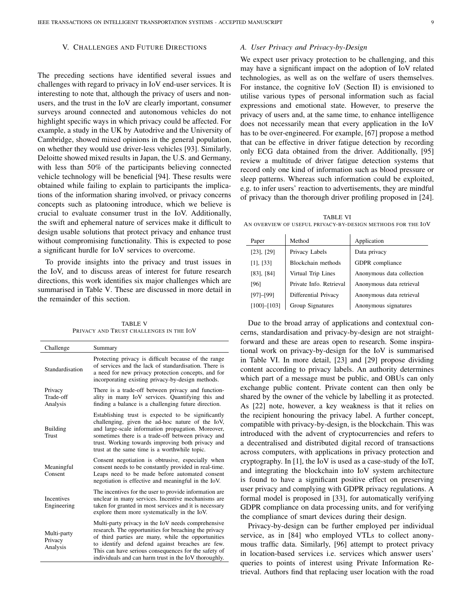### V. CHALLENGES AND FUTURE DIRECTIONS

The preceding sections have identified several issues and challenges with regard to privacy in IoV end-user services. It is interesting to note that, although the privacy of users and nonusers, and the trust in the IoV are clearly important, consumer surveys around connected and autonomous vehicles do not highlight specific ways in which privacy could be affected. For example, a study in the UK by Autodrive and the University of Cambridge, showed mixed opinions in the general population, on whether they would use driver-less vehicles [93]. Similarly, Deloitte showed mixed results in Japan, the U.S. and Germany, with less than 50% of the participants believing connected vehicle technology will be beneficial [94]. These results were obtained while failing to explain to participants the implications of the information sharing involved, or privacy concerns concepts such as platooning introduce, which we believe is crucial to evaluate consumer trust in the IoV. Additionally, the swift and ephemeral nature of services make it difficult to design usable solutions that protect privacy and enhance trust without compromising functionality. This is expected to pose a significant hurdle for IoV services to overcome.

To provide insights into the privacy and trust issues in the IoV, and to discuss areas of interest for future research directions, this work identifies six major challenges which are summarised in Table V. These are discussed in more detail in the remainder of this section.

TABLE V PRIVACY AND TRUST CHALLENGES IN THE IOV

| Challenge                          | Summary                                                                                                                                                                                                                                                                                                                                |
|------------------------------------|----------------------------------------------------------------------------------------------------------------------------------------------------------------------------------------------------------------------------------------------------------------------------------------------------------------------------------------|
| Standardisation                    | Protecting privacy is difficult because of the range<br>of services and the lack of standardisation. There is<br>a need for new privacy protection concepts, and for<br>incorporating existing privacy-by-design methods.                                                                                                              |
| Privacy<br>Trade-off<br>Analysis   | There is a trade-off between privacy and function-<br>ality in many IoV services. Quantifying this and<br>finding a balance is a challenging future direction.                                                                                                                                                                         |
| <b>Building</b><br>Trust           | Establishing trust is expected to be significantly<br>challenging, given the ad-hoc nature of the IoV,<br>and large-scale information propagation. Moreover,<br>sometimes there is a trade-off between privacy and<br>trust. Working towards improving both privacy and<br>trust at the same time is a worthwhile topic.               |
| Meaningful<br>Consent              | Consent negotiation is obtrusive, especially when<br>consent needs to be constantly provided in real-time.<br>Leaps need to be made before automated consent<br>negotiation is effective and meaningful in the IoV.                                                                                                                    |
| <b>Incentives</b><br>Engineering   | The incentives for the user to provide information are<br>unclear in many services. Incentive mechanisms are<br>taken for granted in most services and it is necessary<br>explore them more systematically in the IoV.                                                                                                                 |
| Multi-party<br>Privacy<br>Analysis | Multi-party privacy in the IoV needs comprehensive<br>research. The opportunities for breaching the privacy<br>of third parties are many, while the opportunities<br>to identify and defend against breaches are few.<br>This can have serious consequences for the safety of<br>individuals and can harm trust in the IoV thoroughly. |

### *A. User Privacy and Privacy-by-Design*

We expect user privacy protection to be challenging, and this may have a significant impact on the adoption of IoV related technologies, as well as on the welfare of users themselves. For instance, the cognitive IoV (Section II) is envisioned to utilise various types of personal information such as facial expressions and emotional state. However, to preserve the privacy of users and, at the same time, to enhance intelligence does not necessarily mean that every application in the IoV has to be over-engineered. For example, [67] propose a method that can be effective in driver fatigue detection by recording only ECG data obtained from the driver. Additionally, [95] review a multitude of driver fatigue detection systems that record only one kind of information such as blood pressure or sleep patterns. Whereas such information could be exploited, e.g. to infer users' reaction to advertisements, they are mindful of privacy than the thorough driver profiling proposed in [24].

TABLE VI AN OVERVIEW OF USEFUL PRIVACY-BY-DESIGN METHODS FOR THE IOV

| Paper             | Method                  | Application               |
|-------------------|-------------------------|---------------------------|
| $[23]$ , $[29]$   | Privacy Labels          | Data privacy              |
| $[1]$ , $[33]$    | Blockchain methods      | GDPR compliance           |
| $[83]$ , $[84]$   | Virtual Trip Lines      | Anonymous data collection |
| [96]              | Private Info. Retrieval | Anonymous data retrieval  |
| $[97]-[99]$       | Differential Privacy    | Anonymous data retrieval  |
| $[100]$ - $[103]$ | Group Signatures        | Anonymous signatures      |

Due to the broad array of applications and contextual concerns, standardisation and privacy-by-design are not straightforward and these are areas open to research. Some inspirational work on privacy-by-design for the IoV is summarised in Table VI. In more detail, [23] and [29] propose dividing content according to privacy labels. An authority determines which part of a message must be public, and OBUs can only exchange public content. Private content can then only be shared by the owner of the vehicle by labelling it as protected. As [22] note, however, a key weakness is that it relies on the recipient honouring the privacy label. A further concept, compatible with privacy-by-design, is the blockchain. This was introduced with the advent of cryptocurrencies and refers to a decentralised and distributed digital record of transactions across computers, with applications in privacy protection and cryptography. In [1], the IoV is used as a case-study of the IoT, and integrating the blockchain into IoV system architecture is found to have a significant positive effect on preserving user privacy and complying with GDPR privacy regulations. A formal model is proposed in [33], for automatically verifying GDPR compliance on data processing units, and for verifying the compliance of smart devices during their design.

Privacy-by-design can be further employed per individual service, as in [84] who employed VTLs to collect anonymous traffic data. Similarly, [96] attempt to protect privacy in location-based services i.e. services which answer users' queries to points of interest using Private Information Retrieval. Authors find that replacing user location with the road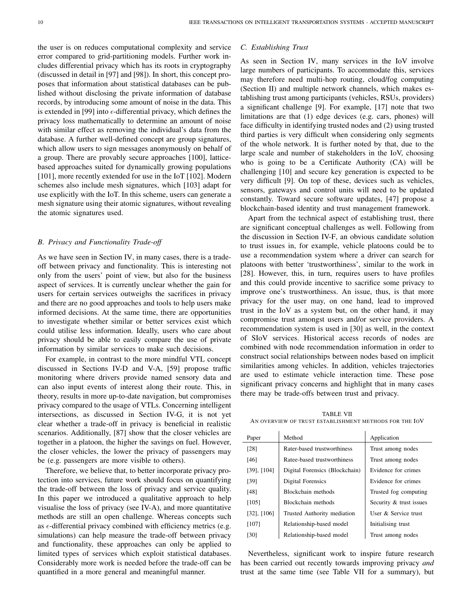the user is on reduces computational complexity and service error compared to grid-partitioning models. Further work includes differential privacy which has its roots in cryptography (discussed in detail in [97] and [98]). In short, this concept proposes that information about statistical databases can be published without disclosing the private information of database records, by introducing some amount of noise in the data. This is extended in [99] into  $\epsilon$ -differential privacy, which defines the privacy loss mathematically to determine an amount of noise with similar effect as removing the individual's data from the database. A further well-defined concept are group signatures, which allow users to sign messages anonymously on behalf of a group. There are provably secure approaches [100], latticebased approaches suited for dynamically growing populations [101], more recently extended for use in the IoT [102]. Modern schemes also include mesh signatures, which [103] adapt for use explicitly with the IoT. In this scheme, users can generate a mesh signature using their atomic signatures, without revealing the atomic signatures used.

### *B. Privacy and Functionality Trade-off*

As we have seen in Section IV, in many cases, there is a tradeoff between privacy and functionality. This is interesting not only from the users' point of view, but also for the business aspect of services. It is currently unclear whether the gain for users for certain services outweighs the sacrifices in privacy and there are no good approaches and tools to help users make informed decisions. At the same time, there are opportunities to investigate whether similar or better services exist which could utilise less information. Ideally, users who care about privacy should be able to easily compare the use of private information by similar services to make such decisions.

For example, in contrast to the more mindful VTL concept discussed in Sections IV-D and V-A, [59] propose traffic monitoring where drivers provide named sensory data and can also input events of interest along their route. This, in theory, results in more up-to-date navigation, but compromises privacy compared to the usage of VTLs. Concerning intelligent intersections, as discussed in Section IV-G, it is not yet clear whether a trade-off in privacy is beneficial in realistic scenarios. Additionally, [87] show that the closer vehicles are together in a platoon, the higher the savings on fuel. However, the closer vehicles, the lower the privacy of passengers may be (e.g. passengers are more visible to others).

Therefore, we believe that, to better incorporate privacy protection into services, future work should focus on quantifying the trade-off between the loss of privacy and service quality. In this paper we introduced a qualitative approach to help visualise the loss of privacy (see IV-A), and more quantitative methods are still an open challenge. Whereas concepts such as  $\epsilon$ -differential privacy combined with efficiency metrics (e.g. simulations) can help measure the trade-off between privacy and functionality, these approaches can only be applied to limited types of services which exploit statistical databases. Considerably more work is needed before the trade-off can be quantified in a more general and meaningful manner.

### *C. Establishing Trust*

As seen in Section IV, many services in the IoV involve large numbers of participants. To accommodate this, services may therefore need multi-hop routing, cloud/fog computing (Section II) and multiple network channels, which makes establishing trust among participants (vehicles, RSUs, providers) a significant challenge [9]. For example, [17] note that two limitations are that (1) edge devices (e.g. cars, phones) will face difficulty in identifying trusted nodes and (2) using trusted third parties is very difficult when considering only segments of the whole network. It is further noted by that, due to the large scale and number of stakeholders in the IoV, choosing who is going to be a Certificate Authority (CA) will be challenging [10] and secure key generation is expected to be very difficult [9]. On top of these, devices such as vehicles, sensors, gateways and control units will need to be updated constantly. Toward secure software updates, [47] propose a blockchain-based identity and trust management framework.

Apart from the technical aspect of establishing trust, there are significant conceptual challenges as well. Following from the discussion in Section IV-F, an obvious candidate solution to trust issues in, for example, vehicle platoons could be to use a recommendation system where a driver can search for platoons with better 'trustworthiness', similar to the work in [28]. However, this, in turn, requires users to have profiles and this could provide incentive to sacrifice some privacy to improve one's trustworthiness. An issue, thus, is that more privacy for the user may, on one hand, lead to improved trust in the IoV as a system but, on the other hand, it may compromise trust amongst users and/or service providers. A recommendation system is used in [30] as well, in the context of SIoV services. Historical access records of nodes are combined with node recommendation information in order to construct social relationships between nodes based on implicit similarities among vehicles. In addition, vehicles trajectories are used to estimate vehicle interaction time. These pose significant privacy concerns and highlight that in many cases there may be trade-offs between trust and privacy.

TABLE VII AN OVERVIEW OF TRUST ESTABLISHMENT METHODS FOR THE IOV

| Paper            | Method                         | Application             |
|------------------|--------------------------------|-------------------------|
| [28]             | Rater-based trustworthiness    | Trust among nodes       |
| [46]             | Ratee-based trustworthiness    | Trust among nodes       |
| $[39]$ , $[104]$ | Digital Forensics (Blockchain) | Evidence for crimes     |
| [39]             | Digital Forensics              | Evidence for crimes     |
| [48]             | Blockchain methods             | Trusted fog computing   |
| [105]            | Blockchain methods             | Security & trust issues |
| $[32]$ , $[106]$ | Trusted Authority mediation    | User & Service trust    |
| [107]            | Relationship-based model       | Initialising trust      |
| [30]             | Relationship-based model       | Trust among nodes       |

Nevertheless, significant work to inspire future research has been carried out recently towards improving privacy *and* trust at the same time (see Table VII for a summary), but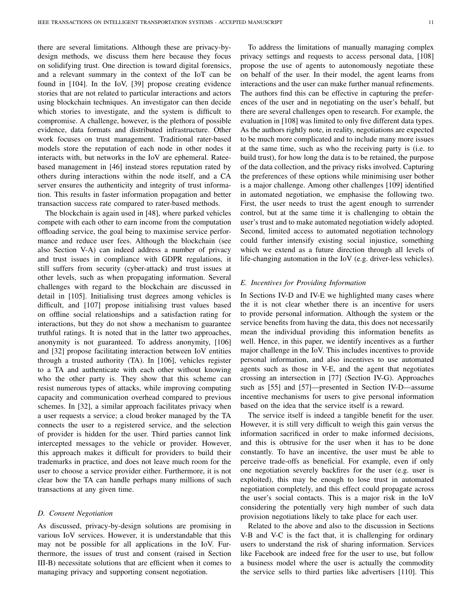there are several limitations. Although these are privacy-bydesign methods, we discuss them here because they focus on solidifying trust. One direction is toward digital forensics, and a relevant summary in the context of the IoT can be found in [104]. In the IoV, [39] propose creating evidence stories that are not related to particular interactions and actors using blockchain techniques. An investigator can then decide which stories to investigate, and the system is difficult to compromise. A challenge, however, is the plethora of possible evidence, data formats and distributed infrastructure. Other work focuses on trust management. Traditional rater-based models store the reputation of each node in other nodes it interacts with, but networks in the IoV are ephemeral. Rateebased management in [46] instead stores reputation rated by others during interactions within the node itself, and a CA server ensures the authenticity and integrity of trust information. This results in faster information propagation and better transaction success rate compared to rater-based methods.

The blockchain is again used in [48], where parked vehicles compete with each other to earn income from the computation offloading service, the goal being to maximise service performance and reduce user fees. Although the blockchain (see also Section V-A) can indeed address a number of privacy and trust issues in compliance with GDPR regulations, it still suffers from security (cyber-attack) and trust issues at other levels, such as when propagating information. Several challenges with regard to the blockchain are discussed in detail in [105]. Initialising trust degrees among vehicles is difficult, and [107] propose initialising trust values based on offline social relationships and a satisfaction rating for interactions, but they do not show a mechanism to guarantee truthful ratings. It is noted that in the latter two approaches, anonymity is not guaranteed. To address anonymity, [106] and [32] propose facilitating interaction between IoV entities through a trusted authority (TA). In [106], vehicles register to a TA and authenticate with each other without knowing who the other party is. They show that this scheme can resist numerous types of attacks, while improving computing capacity and communication overhead compared to previous schemes. In [32], a similar approach facilitates privacy when a user requests a service; a cloud broker managed by the TA connects the user to a registered service, and the selection of provider is hidden for the user. Third parties cannot link intercepted messages to the vehicle or provider. However, this approach makes it difficult for providers to build their trademarks in practice, and does not leave much room for the user to choose a service provider either. Furthermore, it is not clear how the TA can handle perhaps many millions of such transactions at any given time.

#### *D. Consent Negotiation*

As discussed, privacy-by-design solutions are promising in various IoV services. However, it is understandable that this may not be possible for all applications in the IoV. Furthermore, the issues of trust and consent (raised in Section III-B) necessitate solutions that are efficient when it comes to managing privacy and supporting consent negotiation.

To address the limitations of manually managing complex privacy settings and requests to access personal data, [108] propose the use of agents to autonomously negotiate these on behalf of the user. In their model, the agent learns from interactions and the user can make further manual refinements. The authors find this can be effective in capturing the preferences of the user and in negotiating on the user's behalf, but there are several challenges open to research. For example, the evaluation in [108] was limited to only five different data types. As the authors rightly note, in reality, negotiations are expected to be much more complicated and to include many more issues at the same time, such as who the receiving party is (i.e. to build trust), for how long the data is to be retained, the purpose of the data collection, and the privacy risks involved. Capturing the preferences of these options while minimising user bother is a major challenge. Among other challenges [109] identified in automated negotiation, we emphasise the following two. First, the user needs to trust the agent enough to surrender control, but at the same time it is challenging to obtain the user's trust and to make automated negotiation widely adopted. Second, limited access to automated negotiation technology could further intensify existing social injustice, something which we extend as a future direction through all levels of life-changing automation in the IoV (e.g. driver-less vehicles).

### *E. Incentives for Providing Information*

In Sections IV-D and IV-E we highlighted many cases where the it is not clear whether there is an incentive for users to provide personal information. Although the system or the service benefits from having the data, this does not necessarily mean the individual providing this information benefits as well. Hence, in this paper, we identify incentives as a further major challenge in the IoV. This includes incentives to provide personal information, and also incentives to use automated agents such as those in V-E, and the agent that negotiates crossing an intersection in [77] (Section IV-G). Approaches such as [55] and [57]—presented in Section IV-D—assume incentive mechanisms for users to give personal information based on the idea that the service itself is a reward.

The service itself is indeed a tangible benefit for the user. However, it is still very difficult to weigh this gain versus the information sacrificed in order to make informed decisions, and this is obtrusive for the user when it has to be done constantly. To have an incentive, the user must be able to perceive trade-offs as beneficial. For example, even if only one negotiation severely backfires for the user (e.g. user is exploited), this may be enough to lose trust in automated negotiation completely, and this effect could propagate across the user's social contacts. This is a major risk in the IoV considering the potentially very high number of such data provision negotiations likely to take place for each user.

Related to the above and also to the discussion in Sections V-B and V-C is the fact that, it is challenging for ordinary users to understand the risk of sharing information. Services like Facebook are indeed free for the user to use, but follow a business model where the user is actually the commodity the service sells to third parties like advertisers [110]. This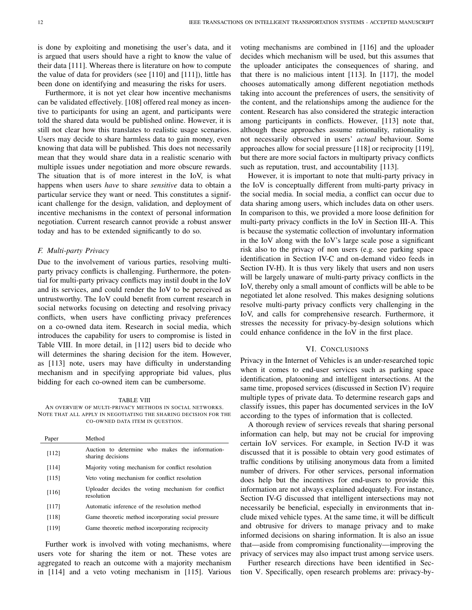is done by exploiting and monetising the user's data, and it is argued that users should have a right to know the value of their data [111]. Whereas there is literature on how to compute the value of data for providers (see [110] and [111]), little has been done on identifying and measuring the risks for users.

Furthermore, it is not yet clear how incentive mechanisms can be validated effectively. [108] offered real money as incentive to participants for using an agent, and participants were told the shared data would be published online. However, it is still not clear how this translates to realistic usage scenarios. Users may decide to share harmless data to gain money, even knowing that data will be published. This does not necessarily mean that they would share data in a realistic scenario with multiple issues under negotiation and more obscure rewards. The situation that is of more interest in the IoV, is what happens when users *have* to share *sensitive* data to obtain a particular service they want or need. This constitutes a significant challenge for the design, validation, and deployment of incentive mechanisms in the context of personal information negotiation. Current research cannot provide a robust answer today and has to be extended significantly to do so.

### *F. Multi-party Privacy*

Due to the involvement of various parties, resolving multiparty privacy conflicts is challenging. Furthermore, the potential for multi-party privacy conflicts may instil doubt in the IoV and its services, and could render the IoV to be perceived as untrustworthy. The IoV could benefit from current research in social networks focusing on detecting and resolving privacy conflicts, when users have conflicting privacy preferences on a co-owned data item. Research in social media, which introduces the capability for users to compromise is listed in Table VIII. In more detail, in [112] users bid to decide who will determines the sharing decision for the item. However, as [113] note, users may have difficulty in understanding mechanism and in specifying appropriate bid values, plus bidding for each co-owned item can be cumbersome.

#### TABLE VIII

AN OVERVIEW OF MULTI-PRIVACY METHODS IN SOCIAL NETWORKS. NOTE THAT ALL APPLY IN NEGOTIATING THE SHARING DECISION FOR THE CO-OWNED DATA ITEM IN QUESTION.

| Paper | Method                                                               |
|-------|----------------------------------------------------------------------|
| [112] | Auction to determine who makes the information-<br>sharing decisions |
| [114] | Majority voting mechanism for conflict resolution                    |
| [115] | Veto voting mechanism for conflict resolution                        |
| [116] | Uploader decides the voting mechanism for conflict<br>resolution     |
| [117] | Automatic inference of the resolution method                         |
| [118] | Game theoretic method incorporating social pressure                  |
| [119] | Game theoretic method incorporating reciprocity                      |

Further work is involved with voting mechanisms, where users vote for sharing the item or not. These votes are aggregated to reach an outcome with a majority mechanism in [114] and a veto voting mechanism in [115]. Various voting mechanisms are combined in [116] and the uploader decides which mechanism will be used, but this assumes that the uploader anticipates the consequences of sharing, and that there is no malicious intent [113]. In [117], the model chooses automatically among different negotiation methods taking into account the preferences of users, the sensitivity of the content, and the relationships among the audience for the content. Research has also considered the strategic interaction among participants in conflicts. However, [113] note that, although these approaches assume rationality, rationality is not necessarily observed in users' *actual* behaviour. Some approaches allow for social pressure [118] or reciprocity [119], but there are more social factors in multiparty privacy conflicts such as reputation, trust, and accountability [113].

However, it is important to note that multi-party privacy in the IoV is conceptually different from multi-party privacy in the social media. In social media, a conflict can occur due to data sharing among users, which includes data on other users. In comparison to this, we provided a more loose definition for multi-party privacy conflicts in the IoV in Section III-A. This is because the systematic collection of involuntary information in the IoV along with the IoV's large scale pose a significant risk also to the privacy of non users (e.g. see parking space identification in Section IV-C and on-demand video feeds in Section IV-H). It is thus very likely that users and non users will be largely unaware of multi-party privacy conflicts in the IoV, thereby only a small amount of conflicts will be able to be negotiated let alone resolved. This makes designing solutions resolve multi-party privacy conflicts very challenging in the IoV, and calls for comprehensive research. Furthermore, it stresses the necessity for privacy-by-design solutions which could enhance confidence in the IoV in the first place.

### VI. CONCLUSIONS

Privacy in the Internet of Vehicles is an under-researched topic when it comes to end-user services such as parking space identification, platooning and intelligent intersections. At the same time, proposed services (discussed in Section IV) require multiple types of private data. To determine research gaps and classify issues, this paper has documented services in the IoV according to the types of information that is collected.

A thorough review of services reveals that sharing personal information can help, but may not be crucial for improving certain IoV services. For example, in Section IV-D it was discussed that it is possible to obtain very good estimates of traffic conditions by utilising anonymous data from a limited number of drivers. For other services, personal information does help but the incentives for end-users to provide this information are not always explained adequately. For instance, Section IV-G discussed that intelligent intersections may not necessarily be beneficial, especially in environments that include mixed vehicle types. At the same time, it will be difficult and obtrusive for drivers to manage privacy and to make informed decisions on sharing information. It is also an issue that—aside from compromising functionality—improving the privacy of services may also impact trust among service users.

Further research directions have been identified in Section V. Specifically, open research problems are: privacy-by-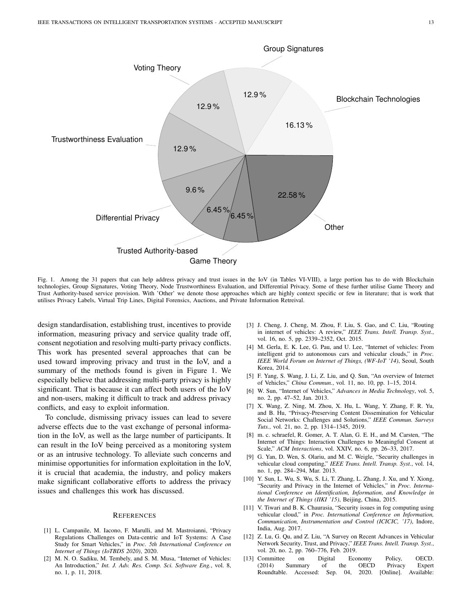

Fig. 1. Among the 31 papers that can help address privacy and trust issues in the IoV (in Tables VI-VIII), a large portion has to do with Blockchain technologies, Group Signatures, Voting Theory, Node Trustworthiness Evaluation, and Differential Privacy. Some of these further utilise Game Theory and Trust Authority-based service provision. With 'Other' we denote those approaches which are highly context specific or few in literature; that is work that utilises Privacy Labels, Virtual Trip Lines, Digital Forensics, Auctions, and Private Information Retreival.

design standardisation, establishing trust, incentives to provide information, measuring privacy and service quality trade off, consent negotiation and resolving multi-party privacy conflicts. This work has presented several approaches that can be used toward improving privacy and trust in the IoV, and a summary of the methods found is given in Figure 1. We especially believe that addressing multi-party privacy is highly significant. That is because it can affect both users of the IoV and non-users, making it difficult to track and address privacy conflicts, and easy to exploit information.

To conclude, dismissing privacy issues can lead to severe adverse effects due to the vast exchange of personal information in the IoV, as well as the large number of participants. It can result in the IoV being perceived as a monitoring system or as an intrusive technology. To alleviate such concerns and minimise opportunities for information exploitation in the IoV, it is crucial that academia, the industry, and policy makers make significant collaborative efforts to address the privacy issues and challenges this work has discussed.

#### **REFERENCES**

- [1] L. Campanile, M. Iacono, F. Marulli, and M. Mastroianni, "Privacy Regulations Challenges on Data-centric and IoT Systems: A Case Study for Smart Vehicles," in *Proc. 5th International Conference on Internet of Things (IoTBDS 2020)*, 2020.
- [2] M. N. O. Sadiku, M. Tembely, and S. M. Musa, "Internet of Vehicles: An Introduction," *Int. J. Adv. Res. Comp. Sci. Software Eng.*, vol. 8, no. 1, p. 11, 2018.
- [3] J. Cheng, J. Cheng, M. Zhou, F. Liu, S. Gao, and C. Liu, "Routing in internet of vehicles: A review," *IEEE Trans. Intell. Transp. Syst.*, vol. 16, no. 5, pp. 2339–2352, Oct. 2015.
- [4] M. Gerla, E. K. Lee, G. Pau, and U. Lee, "Internet of vehicles: From intelligent grid to autonomous cars and vehicular clouds," in *Proc. IEEE World Forum on Internet of Things, (WF-IoT '14)*, Seoul, South Korea, 2014.
- [5] F. Yang, S. Wang, J. Li, Z. Liu, and Q. Sun, "An overview of Internet of Vehicles," *China Commun.*, vol. 11, no. 10, pp. 1–15, 2014.
- [6] W. Sun, "Internet of Vehicles," *Advances in Media Technology*, vol. 5, no. 2, pp. 47–52, Jan. 2013.
- [7] X. Wang, Z. Ning, M. Zhou, X. Hu, L. Wang, Y. Zhang, F. R. Yu, and B. Hu, "Privacy-Preserving Content Dissemination for Vehicular Social Networks: Challenges and Solutions," *IEEE Commun. Surveys Tuts.*, vol. 21, no. 2, pp. 1314–1345, 2019.
- [8] m. c. schraefel, R. Gomer, A. T. Alan, G. E. H., and M. Carsten, "The Internet of Things: Interaction Challenges to Meaningful Consent at Scale," *ACM Interactions*, vol. XXIV, no. 6, pp. 26–33, 2017.
- [9] G. Yan, D. Wen, S. Olariu, and M. C. Weigle, "Security challenges in vehicular cloud computing," *IEEE Trans. Intell. Transp. Syst.*, vol. 14, no. 1, pp. 284–294, Mar. 2013.
- [10] Y. Sun, L. Wu, S. Wu, S. Li, T. Zhang, L. Zhang, J. Xu, and Y. Xiong, "Security and Privacy in the Internet of Vehicles," in *Proc. International Conference on Identification, Information, and Knowledge in the Internet of Things (IIKI '15)*, Beijing, China, 2015.
- [11] V. Tiwari and B. K. Chaurasia, "Security issues in fog computing using vehicular cloud," in *Proc. International Conference on Information, Communication, Instrumentation and Control (ICICIC, '17)*, Indore, India, Aug. 2017.
- [12] Z. Lu, G. Qu, and Z. Liu, "A Survey on Recent Advances in Vehicular Network Security, Trust, and Privacy," *IEEE Trans. Intell. Transp. Syst.*, vol. 20, no. 2, pp. 760–776, Feb. 2019.
- [13] Committee on Digital Economy Policy, OECD. (2014) Summary of the OECD Privacy Expert Roundtable. Accessed: Sep. 04, 2020. [Online]. Available: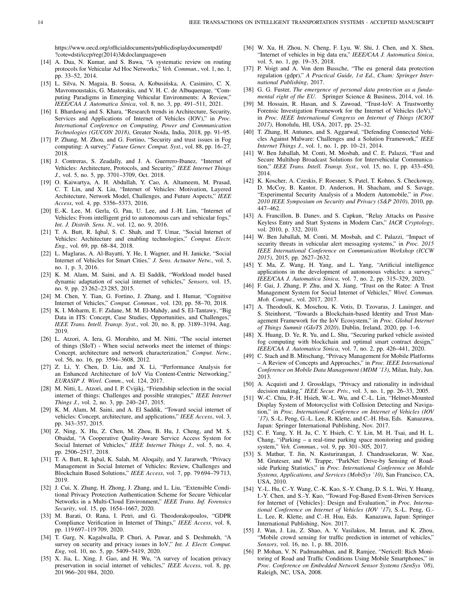https://www.oecd.org/officialdocuments/publicdisplaydocumentpdf/ ?cote=dsti/iccp/reg(2014)3&doclanguage=en

- [14] A. Dua, N. Kumar, and S. Bawa, "A systematic review on routing protocols for Vehicular Ad Hoc Networks," *Veh. Commun.*, vol. 1, no. 1, pp. 33–52, 2014.
- [15] L. Silva, N. Magaia, B. Sousa, A. Kobusińska, A. Casimiro, C. X. Mavromoustakis, G. Mastorakis, and V. H. C. de Albuquerque, "Computing Paradigms in Emerging Vehicular Environments: A Review," *IEEE/CAA J. Automatica Sinica*, vol. 8, no. 3, pp. 491–511, 2021.
- [16] I. Bhardawaj and S. Khara, "Research trends in Architecture, Security, Services and Applications of Internet of Vehicles (IOV)," in *Proc. International Conference on Computing, Power and Communication Technologies (GUCON 2018)*, Greater Noida, India, 2018, pp. 91–95.
- [17] P. Zhang, M. Zhou, and G. Fortino, "Security and trust issues in Fog computing: A survey," *Future Gener. Comput. Syst.*, vol. 88, pp. 16–27, 2018.
- [18] J. Contreras, S. Zeadally, and J. A. Guerrero-Ibanez, "Internet of Vehicles: Architecture, Protocols, and Security," *IEEE Internet Things J.*, vol. 5, no. 5, pp. 3701–3709, Oct. 2018.
- [19] O. Kaiwartya, A. H. Abdullah, Y. Cao, A. Altameem, M. Prasad, C. T. Lin, and X. Liu, "Internet of Vehicles: Motivation, Layered Architecture, Network Model, Challenges, and Future Aspects," *IEEE Access*, vol. 4, pp. 5356–5373, 2016.
- [20] E.-K. Lee, M. Gerla, G. Pau, U. Lee, and J.-H. Lim, "Internet of Vehicles: From intelligent grid to autonomous cars and vehicular fogs," *Int. J. Distrib. Sens. N.*, vol. 12, no. 9, 2016.
- [21] T. A. Butt, R. Iqbal, S. C. Shah, and T. Umar, "Social Internet of Vehicles: Architecture and enabling technologies," *Comput. Electr. Eng.*, vol. 69, pp. 68–84, 2018.
- [22] L. Maglaras, A. Al-Bayatti, Y. He, I. Wagner, and H. Janicke, "Social Internet of Vehicles for Smart Cities," *J. Sens. Actuator Netw.*, vol. 5, no. 1, p. 3, 2016.
- [23] K. M. Alam, M. Saini, and A. El Saddik, "Workload model based dynamic adaptation of social internet of vehicles," *Sensors*, vol. 15, no. 9, pp. 23 262–23 285, 2015.
- [24] M. Chen, Y. Tian, G. Fortino, J. Zhang, and I. Humar, "Cognitive Internet of Vehicles," *Comput. Commun.*, vol. 120, pp. 58–70, 2018.
- [25] K. I. Moharm, E. F. Zidane, M. M. El-Mahdy, and S. El-Tantawy, "Big Data in ITS: Concept, Case Studies, Opportunities, and Challenges," *IEEE Trans. Intell. Transp. Syst.*, vol. 20, no. 8, pp. 3189–3194, Aug. 2019.
- [26] L. Atzori, A. Iera, G. Morabito, and M. Nitti, "The social internet of things (SIoT) - When social networks meet the internet of things: Concept, architecture and network characterization," *Comput. Netw.*, vol. 56, no. 16, pp. 3594–3608, 2012.
- [27] Z. Li, Y. Chen, D. Liu, and X. Li, "Performance Analysis for an Enhanced Architecture of IoV Via Content-Centric Networking," *EURASIP J. Wirel. Comm.*, vol. 124, 2017.
- [28] M. Nitti, L. Atzori, and I. P. Cvijikj, "Friendship selection in the social internet of things: Challenges and possible strategies," *IEEE Internet Things J.*, vol. 2, no. 3, pp. 240–247, 2015.
- [29] K. M. Alam, M. Saini, and A. El Saddik, "Toward social internet of vehicles: Concept, architecture, and applications," *IEEE Access*, vol. 3, pp. 343–357, 2015.
- [30] Z. Ning, X. Hu, Z. Chen, M. Zhou, B. Hu, J. Cheng, and M. S. Obaidat, "A Cooperative Quality-Aware Service Access System for Social Internet of Vehicles," *IEEE Internet Things J.*, vol. 5, no. 4, pp. 2506–2517, 2018.
- [31] T. A. Butt, R. Iqbal, K. Salah, M. Aloqaily, and Y. Jararweh, "Privacy Management in Social Internet of Vehicles: Review, Challenges and Blockchain Based Solutions," *IEEE Access*, vol. 7, pp. 79 694–79 713, 2019.
- [32] J. Cui, X. Zhang, H. Zhong, J. Zhang, and L. Liu, "Extensible Conditional Privacy Protection Authentication Scheme for Secure Vehicular Networks in a Multi-Cloud Environment," *IEEE Trans. Inf. Forensics Security*, vol. 15, pp. 1654–1667, 2020.
- [33] M. Barati, O. Rana, I. Petri, and G. Theodorakopoulos, "GDPR Compliance Verification in Internet of Things," *IEEE Access*, vol. 8, pp. 119 697–119 709, 2020.
- [34] T. Garg, N. Kagalwalla, P. Churi, A. Pawar, and S. Deshmukh, "A survey on security and privacy issues in IoV," *Int. J. Electr. Comput. Eng*, vol. 10, no. 5, pp. 5409–5419, 2020.
- [35] X. Jia, L. Xing, J. Gao, and H. Wu, "A survey of location privacy preservation in social internet of vehicles," *IEEE Access*, vol. 8, pp. 201 966–201 984, 2020.
- [36] W. Xu, H. Zhou, N. Cheng, F. Lyu, W. Shi, J. Chen, and X. Shen, "Internet of vehicles in big data era," *IEEE/CAA J. Automatica Sinica*, vol. 5, no. 1, pp. 19–35, 2018.
- [37] P. Voigt and A. Von dem Bussche, "The eu general data protection regulation (gdpr)," *A Practical Guide, 1st Ed., Cham: Springer International Publishing*, 2017.
- [38] G. G. Fuster, *The emergence of personal data protection as a fundamental right of the EU*. Springer Science & Business, 2014, vol. 16.
- [39] M. Hossain, R. Hasan, and S. Zawoad, "Trust-IoV: A Trustworthy Forensic Investigation Framework for the Internet of Vehicles (IoV)," in *Proc. IEEE International Congress on Internet of Things (ICIOT 2017)*, Honolulu, HI, USA, 2017, pp. 25–32.
- [40] T. Zhang, H. Antunes, and S. Aggarwal, "Defending Connected Vehicles Against Malware: Challenges and a Solution Framework," *IEEE Internet Things J.*, vol. 1, no. 1, pp. 10–21, 2014.
- [41] W. Ben Jaballah, M. Conti, M. Mosbah, and C. E. Palazzi, "Fast and Secure Multihop Broadcast Solutions for Intervehicular Communication," *IEEE Trans. Intell. Transp. Syst.*, vol. 15, no. 1, pp. 433–450, 2014.
- [42] K. Koscher, A. Czeskis, F. Roesner, S. Patel, T. Kohno, S. Checkoway, D. McCoy, B. Kantor, D. Anderson, H. Shacham, and S. Savage, "Experimental Security Analysis of a Modern Automobile," in *Proc. 2010 IEEE Symposium on Security and Privacy (S&P 2010)*, 2010, pp. 447–462.
- [43] A. Francillon, B. Danev, and S. Capkun, "Relay Attacks on Passive Keyless Entry and Start Systems in Modern Cars," *IACR Cryptology*, vol. 2010, p. 332, 2010.
- [44] W. Ben Jaballah, M. Conti, M. Mosbah, and C. Palazzi, "Impact of security threats in vehicular alert messaging systems," in *Proc. 2015 IEEE International Conference on Communication Workshop (ICCW 2015)*, 2015, pp. 2627–2632.
- [45] Y. Ma, Z. Wang, H. Yang, and L. Yang, "Artificial intelligence applications in the development of autonomous vehicles: a survey,' *IEEE/CAA J. Automatica Sinica*, vol. 7, no. 2, pp. 315–329, 2020.
- [46] F. Gai, J. Zhang, P. Zhu, and X. Jiang, "Trust on the Ratee: A Trust Management System for Social Internet of Vehicles," *Wirel. Commun. Mob. Comput.*, vol. 2017, 2017.
- [47] A. Theodouli, K. Moschou, K. Votis, D. Tzovaras, J. Lauinger, and S. Steinhorst, "Towards a Blockchain-based Identity and Trust Management Framework for the IoV Ecosystem," in *Proc. Global Internet of Things Summit (GIoTS 2020)*, Dublin, Ireland, 2020, pp. 1–6.
- [48] X. Huang, D. Ye, R. Yu, and L. Shu, "Securing parked vehicle assisted fog computing with blockchain and optimal smart contract design," *IEEE/CAA J. Automatica Sinica*, vol. 7, no. 2, pp. 426–441, 2020.
- [49] C. Stach and B. Mitschang, "Privacy Management for Mobile Platforms – A Review of Concepts and Approaches," in *Proc. IEEE International Conference on Mobile Data Management (MDM '13)*, Milan, Italy, Jun. 2013.
- [50] A. Acquisti and J. Grossklags, "Privacy and rationality in individual decision making," *IEEE Secur. Priv.*, vol. 3, no. 1, pp. 26–33, 2005.
- [51] W.-C. Chiu, P.-H. Hsieh, W.-L. Wu, and C.-L. Lin, "Helmet-Mounted Display System of Motorcyclist with Collision Detecting and Navigation," in *Proc. International Conference on Internet of Vehicles (IOV '17)*, S.-L. Peng, G.-L. Lee, R. Klette, and C.-H. Hsu, Eds. Kanazawa, Japan: Springer International Publishing, Nov. 2017.
- [52] C. F. Yang, Y. H. Ju, C. Y. Hsieh, C. Y. Lin, M. H. Tsai, and H. L. Chang, "iParking – a real-time parking space monitoring and guiding system," *Veh. Commun.*, vol. 9, pp. 301–305, 2017.
- [53] S. Mathur, T. Jin, N. Kasturirangan, J. Chandrasekaran, W. Xue, M. Gruteser, and W. Trappe, "ParkNet: Drive-by Sensing of Roadside Parking Statistics," in *Proc. International Conference on Mobile Systems, Applications, and Services (MobiSys '10)*, San Francisco, CA, USA, 2010.
- [54] Y.-L. Hu, C.-Y. Wang, C.-K. Kao, S.-Y. Chang, D. S. L. Wei, Y. Huang, I.-Y. Chen, and S.-Y. Kuo, "Toward Fog-Based Event-Driven Services for Internet of {Vehicles}: Design and Evaluation," in *Proc. International Conference on Internet of Vehicles (IOV '17)*, S.-L. Peng, G.- L. Lee, R. Klette, and C.-H. Hsu, Eds. Kanazawa, Japan: Springer International Publishing, Nov. 2017.
- [55] J. Wan, J. Liu, Z. Shao, A. V. Vasilakos, M. Imran, and K. Zhou, "Mobile crowd sensing for traffic prediction in internet of vehicles," *Sensors*, vol. 16, no. 1, p. 88, 2016.
- [56] P. Mohan, V. N. Padmanabhan, and R. Ramjee, "Nericell: Rich Monitoring of Road and Traffic Conditions Using Mobile Smartphones," in *Proc. Conference on Embedded Network Sensor Systems (SenSys '08)*, Raleigh, NC, USA, 2008.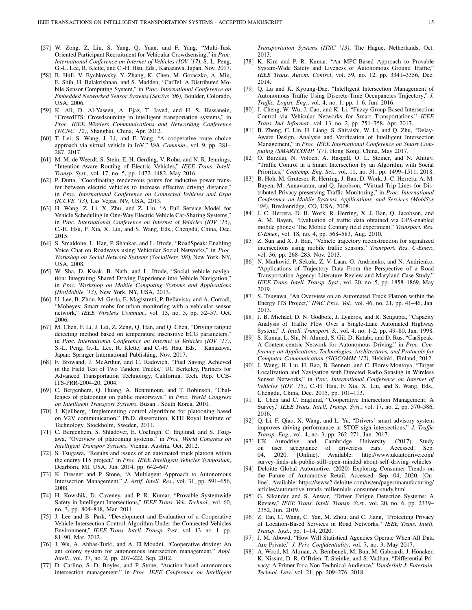- [57] W. Zong, Z. Liu, S. Yang, Q. Yuan, and F. Yang, "Multi-Task Oriented Participant Recruitment for Vehicular Crowdsensing," in *Proc. International Conference on Internet of Vehicles (IOV '17)*, S.-L. Peng, G.-L. Lee, R. Klette, and C.-H. Hsu, Eds., Kanazawa, Japan, Nov. 2017.
- [58] B. Hull, V. Bychkovsky, Y. Zhang, K. Chen, M. Goraczko, A. Miu, E. Shih, H. Balakrishnan, and S. Madden, "CarTel: A Distributed Mobile Sensor Computing System," in *Proc. International Conference on Embedded Networked Sensor Systems (SenSys '06)*, Boulder, Colorado, USA, 2006.
- [59] K. Ali, D. Al-Yaseen, A. Ejaz, T. Javed, and H. S. Hassanein, "CrowdITS: Crowdsourcing in intelligent transportation systems," in *Proc. IEEE Wireless Communications and Networking Conference (WCNC '12)*, Shanghai, China, Apr. 2012.
- [60] T. Lei, S. Wang, J. Li, and F. Yang, "A cooperative route choice approach via virtual vehicle in IoV," *Veh. Commun.*, vol. 9, pp. 281– 287, 2017.
- [61] M. M. de Weerdt, S. Stein, E. H. Gerding, V. Robu, and N. R. Jennings, "Intention-Aware Routing of Electric Vehicles," *IEEE Trans. Intell. Transp. Syst.*, vol. 17, no. 5, pp. 1472–1482, May 2016.
- [62] P. Dutta, "Coordinating rendezvous points for inductive power transfer between electric vehicles to increase effective driving distance," in *Proc. International Conference on Connected Vehicles and Expo (ICCVE '13)*, Las Vegas, NV, USA, 2013.
- [63] H. Wang, Z. Li, X. Zhu, and Z. Liu, "A Full Service Model for Vehicle Scheduling in One-Way Electric Vehicle Car-Sharing Systems," in *Proc. International Conference on Internet of Vehicles (IOV '15)*, C.-H. Hsu, F. Xia, X. Liu, and S. Wang, Eds., Chengdu, China, Dec. 2015.
- [64] S. Smaldone, L. Han, P. Shankar, and L. Iftode, "RoadSpeak: Enabling Voice Chat on Roadways using Vehicular Social Networks," in *Proc. Workshop on Social Network Systems (SocialNets '08)*, New York, NY, USA, 2008.
- [65] W. Sha, D. Kwak, B. Nath, and L. Iftode, "Social vehicle navigation: Integrating Shared Driving Experience into Vehicle Navigation," in *Proc. Workshop on Mobile Computing Systems and Applications (HotMobile '13)*, New York, NY, USA, 2013.
- [66] U. Lee, B. Zhou, M. Gerla, E. Magistretti, P. Bellavista, and A. Corradi, "Mobeyes: Smart mobs for urban monitoring with a vehicular sensor network," *IEEE Wireless Commun.*, vol. 13, no. 5, pp. 52–57, Oct. 2006.
- [67] M. Chen, F. Li, J. Lei, Z. Zeng, Q. Han, and Q. Chen, "Driving fatigue detecting method based on temperature insensitive ECG parameters," in *Proc. International Conference on Internet of Vehicles (IOV '17)*, S.-L. Peng, G.-L. Lee, R. Klette, and C.-H. Hsu, Eds. Kanazawa, Japan: Springer International Publishing, Nov. 2017.
- [68] F. Browand, J. McArthur, and C. Radovich, "Fuel Saving Achieved in the Field Test of Two Tandem Trucks," UC Berkeley, Partners for Advanced Transportation Technology, California, Tech. Rep. UCB-ITS-PRR-2004-20, 2004.
- [69] C. Bergenhem, Q. Huang, A. Benminoun, and T. Robinson, "Challenges of platooning on public motorways," in *Proc. World Congress on Intelligent Transport Systems*, Busan , South Korea, 2010.
- [70] J. Kjellberg, "Implementing control algorithms for platooning based on V2V communication," Ph.D. dissertation, KTH Royal Institute of Technology, Stockholm, Sweden, 2011.
- [71] C. Bergenhem, S. Shladover, E. Coelingh, C. Englund, and S. Tsugawa, "Overview of platooning systems," in *Proc. World Congress on Intelligent Transpor Systems*, Vienna, Austria, Oct. 2012.
- [72] S. Tsugawa, "Results and issues of an automated truck platoon within the energy ITS project," in *Proc. IEEE Intelligent Vehicles Symposium*, Dearborn, MI, USA, Jun. 2014, pp. 642–647.
- [73] K. Dresner and P. Stone, "A Multiagent Approach to Autonomous Intersection Management," *J. Artif. Intell. Res.*, vol. 31, pp. 591–656, 2008.
- [74] H. Kowshik, D. Caveney, and P. R. Kumar, "Provable Systemwide Safety in Intelligent Intersections," *IEEE Trans. Veh. Technol.*, vol. 60, no. 3, pp. 804–818, Mar. 2011.
- [75] J. Lee and B. Park, "Development and Evaluation of a Cooperative Vehicle Intersection Control Algorithm Under the Connected Vehicles Environment," *IEEE Trans. Intell. Transp. Syst.*, vol. 13, no. 1, pp. 81–90, Mar. 2012.
- [76] J. Wu, A. Abbas-Turki, and A. El Moudni, "Cooperative driving: An ant colony system for autonomous intersection management," *Appl. Intell.*, vol. 37, no. 2, pp. 207–222, Sep. 2012.
- [77] D. Carlino, S. D. Boyles, and P. Stone, "Auction-based autonomous intersection management," in *Proc. IEEE Conference on Intelligent*

*Transportation Systems (ITSC '13)*, The Hague, Netherlands, Oct. 2013.

- [78] K. Kim and P. R. Kumar, "An MPC-Based Approach to Provable System-Wide Safety and Liveness of Autonomous Ground Traffic," *IEEE Trans. Autom. Control*, vol. 59, no. 12, pp. 3341–3356, Dec. 2014.
- [79] Q. Lu and K. Kyoung-Dae, "Intelligent Intersection Management of Autonomous Traffic Using Discrete-Time Occupancies Trajectory," *J. Traffic. Logist. Eng.*, vol. 4, no. 1, pp. 1–6, Jun. 2016.
- [80] J. Cheng, W. Wu, J. Cao, and K. Li, "Fuzzy Group-Based Intersection Control via Vehicular Networks for Smart Transportations," *IEEE Trans. Ind. Informat.*, vol. 13, no. 2, pp. 751–758, Apr. 2017.
- [81] B. Zheng, C. Lin, H. Liang, S. Shiraishi, W. Li, and Q. Zhu, "Delay-Aware Design, Analysis and Verification of Intelligent Intersection Management," in *Proc. IEEE International Conference on Smart Computing (SMARTCOMP '17)*, Hong Kong, China, May 2017.
- [82] O. Barzilai, N. Voloch, A. Hasgall, O. L. Steiner, and N. Ahituv, "Traffic Control in a Smart Intersection by an Algorithm with Social Priorities," *Contemp. Eng. Sci.*, vol. 11, no. 31, pp. 1499–1511, 2018.
- [83] B. Hoh, M. Gruteser, R. Herring, J. Ban, D. Work, J.-C. Herrera, A. M. Bayen, M. Annavaram, and Q. Jacobson, "Virtual Trip Lines for Distributed Privacy-preserving Traffic Monitoring," in *Proc. International Conference on Mobile Systems, Applications, and Services (MobiSys '08)*, Breckenridge, CO, USA, 2008.
- [84] J. C. Herrera, D. B. Work, R. Herring, X. J. Ban, Q. Jacobson, and A. M. Bayen, "Evaluation of traffic data obtained via GPS-enabled mobile phones: The Mobile Century field experiment," *Transport. Res. C-Emer.*, vol. 18, no. 4, pp. 568–583, Aug. 2010.
- [85] Z. Sun and X. J. Ban, "Vehicle trajectory reconstruction for signalized intersections using mobile traffic sensors," *Transport. Res. C-Emer.*, vol. 36, pp. 268–283, Nov. 2013.
- [86] N. Marković, P. Sekuła, Z. V. Laan, G. Andrienko, and N. Andrienko, "Applications of Trajectory Data From the Perspective of a Road Transportation Agency: Literature Review and Maryland Case Study," *IEEE Trans. Intell. Transp. Syst.*, vol. 20, no. 5, pp. 1858–1869, May 2019.
- [87] S. Tsugawa, "An Overview on an Automated Truck Platoon within the Energy ITS Project," *IFAC Proc. Vol.*, vol. 46, no. 21, pp. 41–46, Jan. 2013.
- [88] J. B. Michael, D. N. Godbole, J. Lygeros, and R. Sengupta, "Capacity Analysis of Traffic Flow Over a Single-Lane Automated Highway System," *J. Intell. Transport. S.*, vol. 4, no. 1-2, pp. 49–80, Jan. 1998.
- [89] S. Kumar, L. Shi, N. Ahmed, S. Gil, D. Katabi, and D. Rus, "CarSpeak: A Content-centric Network for Autonomous Driving," in *Proc. Conference on Applications, Technologies, Architectures, and Protocols for Computer Communication (SIGCOMM '12)*, Helsinki, Finland, 2012.
- [90] J. Wang, H. Liu, H. Bao, B. Bennett, and C. Flores-Montoya, "Target Localization and Navigation with Directed Radio Sensing in Wireless Sensor Networks," in *Proc. International Conference on Internet of Vehicles (IOV '15)*, C.-H. Hsu, F. Xia, X. Liu, and S. Wang, Eds., Chengdu, China, Dec. 2015, pp. 101–113.
- [91] L. Chen and C. Englund, "Cooperative Intersection Management: A Survey," *IEEE Trans. Intell. Transp. Syst.*, vol. 17, no. 2, pp. 570–586, 2016.
- [92] Q. Li, F. Qiao, X. Wang, and L. Yu, "Drivers' smart advisory system improves driving performance at STOP sign intersections," *J. Traffic Transp. Eng.*, vol. 4, no. 3, pp. 262–271, Jun. 2017.
- [93] UK Autodrive and Cambridge University. (2017) Study on user acceptance of driverless cars. Accessed: Sep. 04, 2020. [Online]. Available: http://www.ukautodrive.com/ survey-finds-uk-public-still-open-minded-about-self-driving-vehicles
- [94] Deloitte Global Automotive. (2020) Exploring Consumer Trends on the Future of Automotive Retail. Accessed: Sep. 04, 2020. [Online]. Available: https://www2.deloitte.com/us/en/pages/manufacturing/ articles/automotive-trends-millennials-consumer-study.html
- [95] G. Sikander and S. Anwar, "Driver Fatigue Detection Systems: A Review," *IEEE Trans. Intell. Transp. Syst.*, vol. 20, no. 6, pp. 2339– 2352, Jun. 2019.
- [96] Z. Tan, C. Wang, C. Yan, M. Zhou, and C. Jiang, "Protecting Privacy of Location-Based Services in Road Networks," *IEEE Trans. Intell. Transp. Syst.*, pp. 1–14, 2020.
- [97] J. M. Abowd, "How Will Statistical Agencies Operate When All Data Are Private," *J. Priv. Confidentiality*, vol. 7, no. 3, May 2017.
- [98] A. Wood, M. Altman, A. Bembenek, M. Bun, M. Gaboardi, J. Honaker, K. Nissim, D. R. O'Brien, T. Steinke, and S. Vadhan, "Differential Privacy: A Primer for a Non-Technical Audience," *Vanderbilt J. Entertain. Technol. Law*, vol. 21, pp. 209–276, 2018.